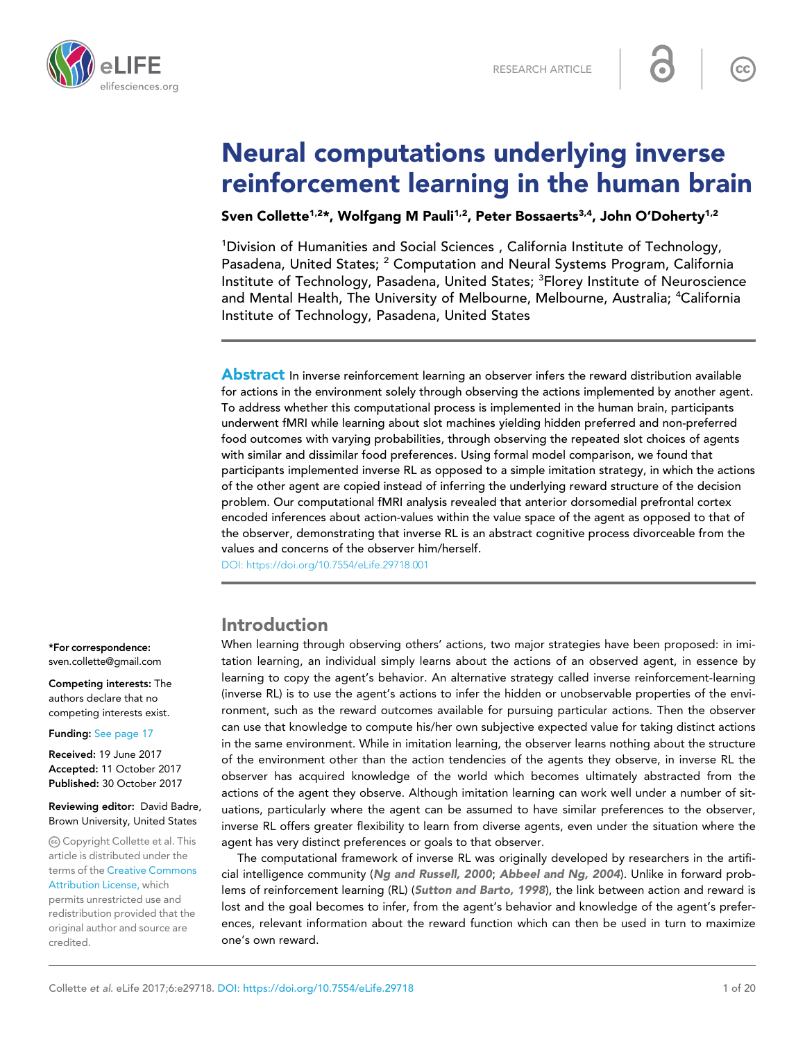

# Neural computations underlying inverse reinforcement learning in the human brain

Sven Collette<sup>1,2\*</sup>, Wolfgang M Pauli<sup>1,2</sup>, Peter Bossaerts<sup>3,4</sup>, John O'Doherty<sup>1,2</sup>

<sup>1</sup>Division of Humanities and Social Sciences , California Institute of Technology, Pasadena, United States; <sup>2</sup> Computation and Neural Systems Program, California Institute of Technology, Pasadena, United States; <sup>3</sup>Florey Institute of Neuroscience and Mental Health, The University of Melbourne, Melbourne, Australia; <sup>4</sup>California Institute of Technology, Pasadena, United States

**Abstract** In inverse reinforcement learning an observer infers the reward distribution available for actions in the environment solely through observing the actions implemented by another agent. To address whether this computational process is implemented in the human brain, participants underwent fMRI while learning about slot machines yielding hidden preferred and non-preferred food outcomes with varying probabilities, through observing the repeated slot choices of agents with similar and dissimilar food preferences. Using formal model comparison, we found that participants implemented inverse RL as opposed to a simple imitation strategy, in which the actions of the other agent are copied instead of inferring the underlying reward structure of the decision problem. Our computational fMRI analysis revealed that anterior dorsomedial prefrontal cortex encoded inferences about action-values within the value space of the agent as opposed to that of the observer, demonstrating that inverse RL is an abstract cognitive process divorceable from the values and concerns of the observer him/herself.

[DOI: https://doi.org/10.7554/eLife.29718.001](https://doi.org/10.7554/eLife.29718.001)

# Introduction

When learning through observing others' actions, two major strategies have been proposed: in imitation learning, an individual simply learns about the actions of an observed agent, in essence by learning to copy the agent's behavior. An alternative strategy called inverse reinforcement-learning (inverse RL) is to use the agent's actions to infer the hidden or unobservable properties of the environment, such as the reward outcomes available for pursuing particular actions. Then the observer can use that knowledge to compute his/her own subjective expected value for taking distinct actions in the same environment. While in imitation learning, the observer learns nothing about the structure of the environment other than the action tendencies of the agents they observe, in inverse RL the observer has acquired knowledge of the world which becomes ultimately abstracted from the actions of the agent they observe. Although imitation learning can work well under a number of situations, particularly where the agent can be assumed to have similar preferences to the observer, inverse RL offers greater flexibility to learn from diverse agents, even under the situation where the agent has very distinct preferences or goals to that observer.

The computational framework of inverse RL was originally developed by researchers in the artifi-cial intelligence community ([Ng and Russell, 2000](#page-18-0); [Abbeel and Ng, 2004](#page-17-0)). Unlike in forward prob-lems of reinforcement learning (RL) ([Sutton and Barto, 1998](#page-19-0)), the link between action and reward is lost and the goal becomes to infer, from the agent's behavior and knowledge of the agent's preferences, relevant information about the reward function which can then be used in turn to maximize one's own reward.

\*For correspondence: sven.collette@gmail.com

Competing interests: The authors declare that no competing interests exist.

Funding: [See page 17](#page-16-0)

Received: 19 June 2017 Accepted: 11 October 2017 Published: 30 October 2017

Reviewing editor: David Badre, Brown University, United States

Copyright Collette et al. This article is distributed under the terms of the [Creative Commons](http://creativecommons.org/licenses/by/4.0/) [Attribution License,](http://creativecommons.org/licenses/by/4.0/) which permits unrestricted use and redistribution provided that the original author and source are

credited.

 $cc$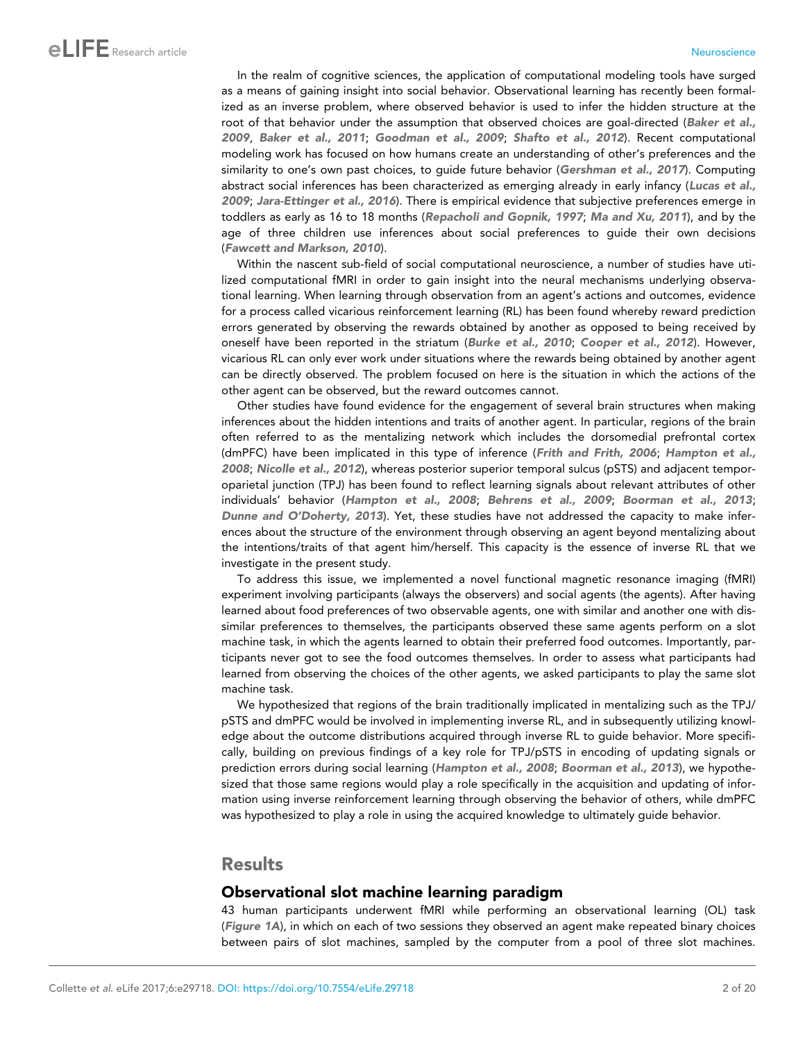In the realm of cognitive sciences, the application of computational modeling tools have surged as a means of gaining insight into social behavior. Observational learning has recently been formalized as an inverse problem, where observed behavior is used to infer the hidden structure at the root of that behavior under the assumption that observed choices are goal-directed ([Baker et al.,](#page-17-0) [2009](#page-17-0), [Baker et al., 2011](#page-17-0); [Goodman et al., 2009](#page-18-0); [Shafto et al., 2012](#page-19-0)). Recent computational modeling work has focused on how humans create an understanding of other's preferences and the similarity to one's own past choices, to quide future behavior ([Gershman et al., 2017](#page-18-0)). Computing abstract social inferences has been characterized as emerging already in early infancy ([Lucas et al.,](#page-18-0) [2009](#page-18-0); [Jara-Ettinger et al., 2016](#page-18-0)). There is empirical evidence that subjective preferences emerge in toddlers as early as 16 to 18 months ([Repacholi and Gopnik, 1997](#page-18-0); [Ma and Xu, 2011](#page-18-0)), and by the age of three children use inferences about social preferences to guide their own decisions ([Fawcett and Markson, 2010](#page-18-0)).

Within the nascent sub-field of social computational neuroscience, a number of studies have utilized computational fMRI in order to gain insight into the neural mechanisms underlying observational learning. When learning through observation from an agent's actions and outcomes, evidence for a process called vicarious reinforcement learning (RL) has been found whereby reward prediction errors generated by observing the rewards obtained by another as opposed to being received by oneself have been reported in the striatum ([Burke et al., 2010](#page-18-0); [Cooper et al., 2012](#page-18-0)). However, vicarious RL can only ever work under situations where the rewards being obtained by another agent can be directly observed. The problem focused on here is the situation in which the actions of the other agent can be observed, but the reward outcomes cannot.

Other studies have found evidence for the engagement of several brain structures when making inferences about the hidden intentions and traits of another agent. In particular, regions of the brain often referred to as the mentalizing network which includes the dorsomedial prefrontal cortex (dmPFC) have been implicated in this type of inference ([Frith and Frith, 2006](#page-18-0); [Hampton et al.,](#page-18-0) [2008](#page-18-0); [Nicolle et al., 2012](#page-18-0)), whereas posterior superior temporal sulcus (pSTS) and adjacent temporoparietal junction (TPJ) has been found to reflect learning signals about relevant attributes of other individuals' behavior ([Hampton et al., 2008](#page-18-0); [Behrens et al., 2009](#page-17-0); [Boorman et al., 2013](#page-18-0); [Dunne and O'Doherty, 2013](#page-18-0)). Yet, these studies have not addressed the capacity to make inferences about the structure of the environment through observing an agent beyond mentalizing about the intentions/traits of that agent him/herself. This capacity is the essence of inverse RL that we investigate in the present study.

To address this issue, we implemented a novel functional magnetic resonance imaging (fMRI) experiment involving participants (always the observers) and social agents (the agents). After having learned about food preferences of two observable agents, one with similar and another one with dissimilar preferences to themselves, the participants observed these same agents perform on a slot machine task, in which the agents learned to obtain their preferred food outcomes. Importantly, participants never got to see the food outcomes themselves. In order to assess what participants had learned from observing the choices of the other agents, we asked participants to play the same slot machine task.

We hypothesized that regions of the brain traditionally implicated in mentalizing such as the TPJ/ pSTS and dmPFC would be involved in implementing inverse RL, and in subsequently utilizing knowledge about the outcome distributions acquired through inverse RL to guide behavior. More specifically, building on previous findings of a key role for TPJ/pSTS in encoding of updating signals or prediction errors during social learning ([Hampton et al., 2008](#page-18-0); [Boorman et al., 2013](#page-18-0)), we hypothesized that those same regions would play a role specifically in the acquisition and updating of information using inverse reinforcement learning through observing the behavior of others, while dmPFC was hypothesized to play a role in using the acquired knowledge to ultimately guide behavior.

## **Results**

#### Observational slot machine learning paradigm

43 human participants underwent fMRI while performing an observational learning (OL) task ([Figure 1A](#page-2-0)), in which on each of two sessions they observed an agent make repeated binary choices between pairs of slot machines, sampled by the computer from a pool of three slot machines.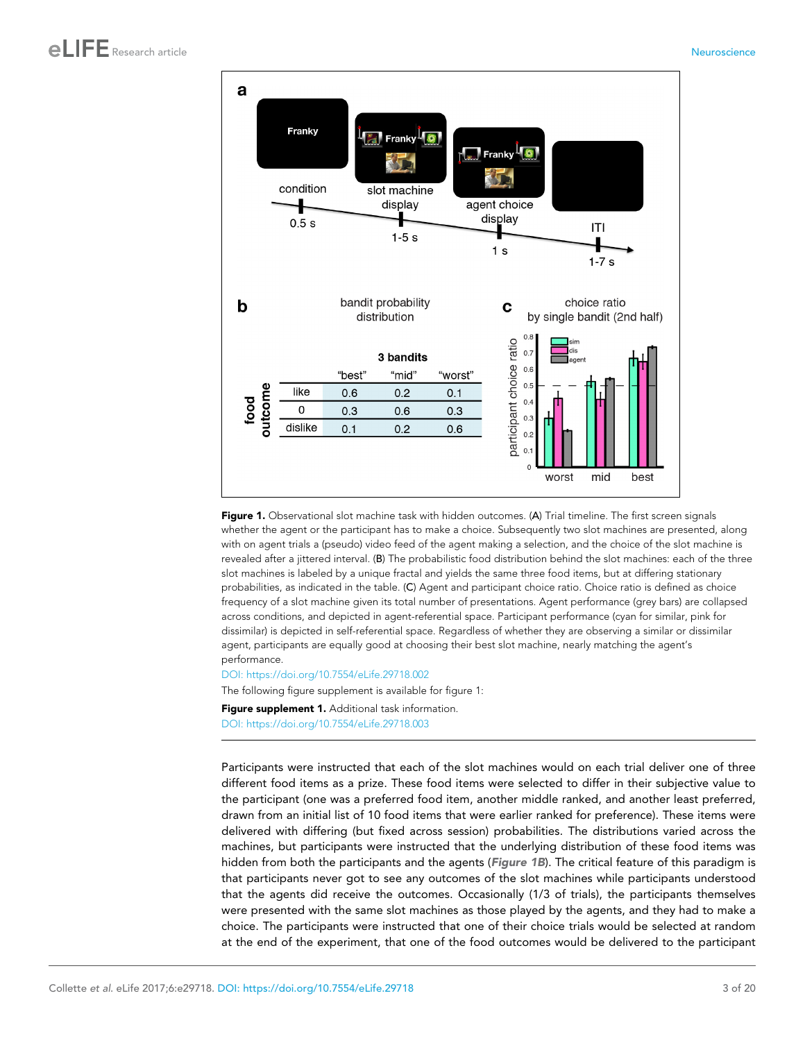<span id="page-2-0"></span>

Figure 1. Observational slot machine task with hidden outcomes. (A) Trial timeline. The first screen signals whether the agent or the participant has to make a choice. Subsequently two slot machines are presented, along with on agent trials a (pseudo) video feed of the agent making a selection, and the choice of the slot machine is revealed after a jittered interval. (B) The probabilistic food distribution behind the slot machines: each of the three slot machines is labeled by a unique fractal and yields the same three food items, but at differing stationary probabilities, as indicated in the table. (C) Agent and participant choice ratio. Choice ratio is defined as choice frequency of a slot machine given its total number of presentations. Agent performance (grey bars) are collapsed across conditions, and depicted in agent-referential space. Participant performance (cyan for similar, pink for dissimilar) is depicted in self-referential space. Regardless of whether they are observing a similar or dissimilar agent, participants are equally good at choosing their best slot machine, nearly matching the agent's performance.

[DOI: https://doi.org/10.7554/eLife.29718.002](https://doi.org/10.7554/eLife.29718.002)

The following figure supplement is available for figure 1:

Figure supplement 1. Additional task information.

[DOI: https://doi.org/10.7554/eLife.29718.003](https://doi.org/10.7554/eLife.29718.003)

Participants were instructed that each of the slot machines would on each trial deliver one of three different food items as a prize. These food items were selected to differ in their subjective value to the participant (one was a preferred food item, another middle ranked, and another least preferred, drawn from an initial list of 10 food items that were earlier ranked for preference). These items were delivered with differing (but fixed across session) probabilities. The distributions varied across the machines, but participants were instructed that the underlying distribution of these food items was hidden from both the participants and the agents (*Figure 1B*). The critical feature of this paradigm is that participants never got to see any outcomes of the slot machines while participants understood that the agents did receive the outcomes. Occasionally (1/3 of trials), the participants themselves were presented with the same slot machines as those played by the agents, and they had to make a choice. The participants were instructed that one of their choice trials would be selected at random at the end of the experiment, that one of the food outcomes would be delivered to the participant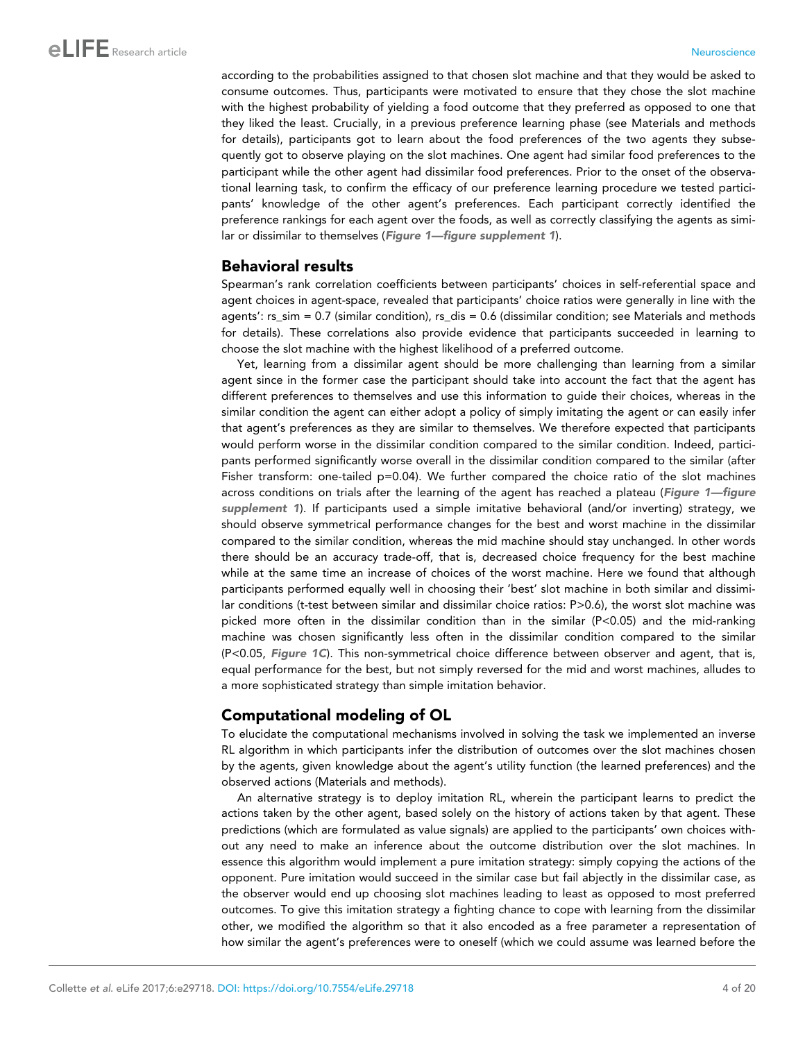according to the probabilities assigned to that chosen slot machine and that they would be asked to consume outcomes. Thus, participants were motivated to ensure that they chose the slot machine with the highest probability of yielding a food outcome that they preferred as opposed to one that they liked the least. Crucially, in a previous preference learning phase (see Materials and methods for details), participants got to learn about the food preferences of the two agents they subsequently got to observe playing on the slot machines. One agent had similar food preferences to the participant while the other agent had dissimilar food preferences. Prior to the onset of the observational learning task, to confirm the efficacy of our preference learning procedure we tested participants' knowledge of the other agent's preferences. Each participant correctly identified the preference rankings for each agent over the foods, as well as correctly classifying the agents as similar or dissimilar to themselves ([Figure 1—figure supplement 1](#page-2-0)).

## Behavioral results

Spearman's rank correlation coefficients between participants' choices in self-referential space and agent choices in agent-space, revealed that participants' choice ratios were generally in line with the agents': rs\_sim = 0.7 (similar condition), rs\_dis = 0.6 (dissimilar condition; see Materials and methods for details). These correlations also provide evidence that participants succeeded in learning to choose the slot machine with the highest likelihood of a preferred outcome.

Yet, learning from a dissimilar agent should be more challenging than learning from a similar agent since in the former case the participant should take into account the fact that the agent has different preferences to themselves and use this information to guide their choices, whereas in the similar condition the agent can either adopt a policy of simply imitating the agent or can easily infer that agent's preferences as they are similar to themselves. We therefore expected that participants would perform worse in the dissimilar condition compared to the similar condition. Indeed, participants performed significantly worse overall in the dissimilar condition compared to the similar (after Fisher transform: one-tailed p=0.04). We further compared the choice ratio of the slot machines across conditions on trials after the learning of the agent has reached a plateau ([Figure 1—figure](#page-2-0) [supplement 1](#page-2-0)). If participants used a simple imitative behavioral (and/or inverting) strategy, we should observe symmetrical performance changes for the best and worst machine in the dissimilar compared to the similar condition, whereas the mid machine should stay unchanged. In other words there should be an accuracy trade-off, that is, decreased choice frequency for the best machine while at the same time an increase of choices of the worst machine. Here we found that although participants performed equally well in choosing their 'best' slot machine in both similar and dissimilar conditions (t-test between similar and dissimilar choice ratios: P>0.6), the worst slot machine was picked more often in the dissimilar condition than in the similar (P<0.05) and the mid-ranking machine was chosen significantly less often in the dissimilar condition compared to the similar (P<0.05, [Figure 1C](#page-2-0)). This non-symmetrical choice difference between observer and agent, that is, equal performance for the best, but not simply reversed for the mid and worst machines, alludes to a more sophisticated strategy than simple imitation behavior.

## Computational modeling of OL

To elucidate the computational mechanisms involved in solving the task we implemented an inverse RL algorithm in which participants infer the distribution of outcomes over the slot machines chosen by the agents, given knowledge about the agent's utility function (the learned preferences) and the observed actions (Materials and methods).

An alternative strategy is to deploy imitation RL, wherein the participant learns to predict the actions taken by the other agent, based solely on the history of actions taken by that agent. These predictions (which are formulated as value signals) are applied to the participants' own choices without any need to make an inference about the outcome distribution over the slot machines. In essence this algorithm would implement a pure imitation strategy: simply copying the actions of the opponent. Pure imitation would succeed in the similar case but fail abjectly in the dissimilar case, as the observer would end up choosing slot machines leading to least as opposed to most preferred outcomes. To give this imitation strategy a fighting chance to cope with learning from the dissimilar other, we modified the algorithm so that it also encoded as a free parameter a representation of how similar the agent's preferences were to oneself (which we could assume was learned before the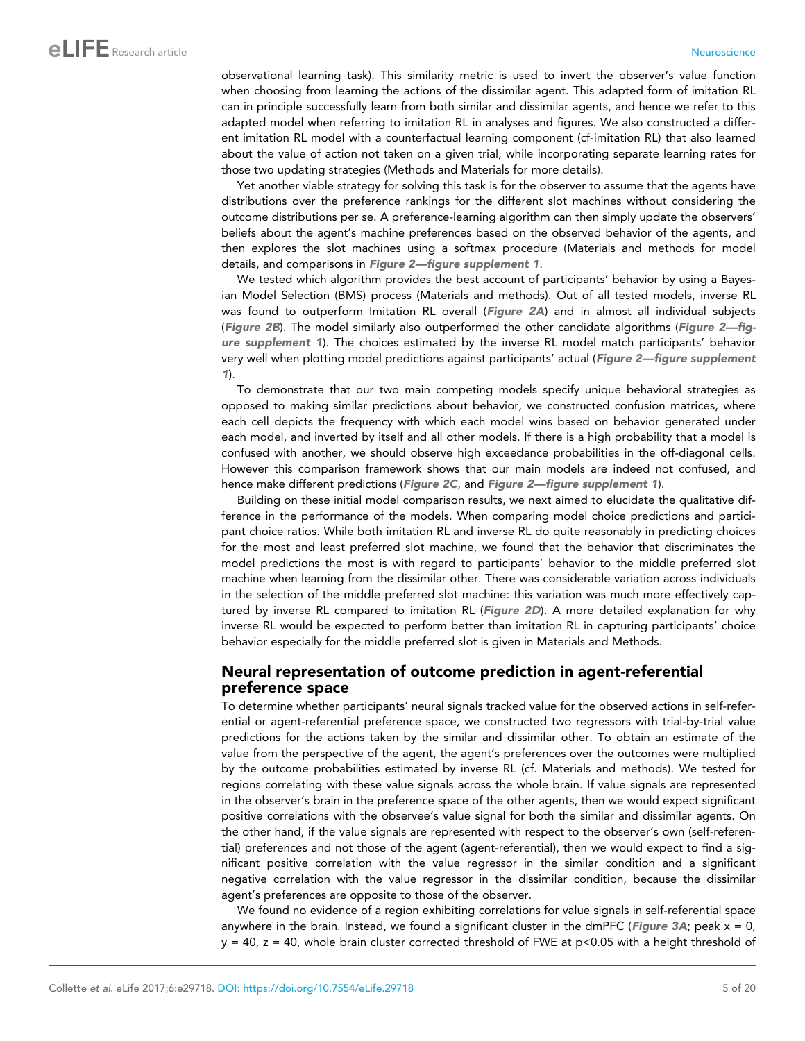observational learning task). This similarity metric is used to invert the observer's value function when choosing from learning the actions of the dissimilar agent. This adapted form of imitation RL can in principle successfully learn from both similar and dissimilar agents, and hence we refer to this adapted model when referring to imitation RL in analyses and figures. We also constructed a different imitation RL model with a counterfactual learning component (cf-imitation RL) that also learned about the value of action not taken on a given trial, while incorporating separate learning rates for those two updating strategies (Methods and Materials for more details).

Yet another viable strategy for solving this task is for the observer to assume that the agents have distributions over the preference rankings for the different slot machines without considering the outcome distributions per se. A preference-learning algorithm can then simply update the observers' beliefs about the agent's machine preferences based on the observed behavior of the agents, and then explores the slot machines using a softmax procedure (Materials and methods for model details, and comparisons in [Figure 2—figure supplement 1](#page-5-0).

We tested which algorithm provides the best account of participants' behavior by using a Bayesian Model Selection (BMS) process (Materials and methods). Out of all tested models, inverse RL was found to outperform Imitation RL overall ([Figure 2A](#page-5-0)) and in almost all individual subjects ([Figure 2B](#page-5-0)). The model similarly also outperformed the other candidate algorithms ([Figure 2—fig](#page-5-0)[ure supplement 1](#page-5-0)). The choices estimated by the inverse RL model match participants' behavior very well when plotting model predictions against participants' actual ([Figure 2—figure supplement](#page-5-0) [1](#page-5-0)).

To demonstrate that our two main competing models specify unique behavioral strategies as opposed to making similar predictions about behavior, we constructed confusion matrices, where each cell depicts the frequency with which each model wins based on behavior generated under each model, and inverted by itself and all other models. If there is a high probability that a model is confused with another, we should observe high exceedance probabilities in the off-diagonal cells. However this comparison framework shows that our main models are indeed not confused, and hence make different predictions ([Figure 2C](#page-5-0), and [Figure 2—figure supplement 1](#page-5-0)).

Building on these initial model comparison results, we next aimed to elucidate the qualitative difference in the performance of the models. When comparing model choice predictions and participant choice ratios. While both imitation RL and inverse RL do quite reasonably in predicting choices for the most and least preferred slot machine, we found that the behavior that discriminates the model predictions the most is with regard to participants' behavior to the middle preferred slot machine when learning from the dissimilar other. There was considerable variation across individuals in the selection of the middle preferred slot machine: this variation was much more effectively captured by inverse RL compared to imitation RL ([Figure 2D](#page-5-0)). A more detailed explanation for why inverse RL would be expected to perform better than imitation RL in capturing participants' choice behavior especially for the middle preferred slot is given in Materials and Methods.

## Neural representation of outcome prediction in agent-referential preference space

To determine whether participants' neural signals tracked value for the observed actions in self-referential or agent-referential preference space, we constructed two regressors with trial-by-trial value predictions for the actions taken by the similar and dissimilar other. To obtain an estimate of the value from the perspective of the agent, the agent's preferences over the outcomes were multiplied by the outcome probabilities estimated by inverse RL (cf. Materials and methods). We tested for regions correlating with these value signals across the whole brain. If value signals are represented in the observer's brain in the preference space of the other agents, then we would expect significant positive correlations with the observee's value signal for both the similar and dissimilar agents. On the other hand, if the value signals are represented with respect to the observer's own (self-referential) preferences and not those of the agent (agent-referential), then we would expect to find a significant positive correlation with the value regressor in the similar condition and a significant negative correlation with the value regressor in the dissimilar condition, because the dissimilar agent's preferences are opposite to those of the observer.

We found no evidence of a region exhibiting correlations for value signals in self-referential space anywhere in the brain. Instead, we found a significant cluster in the dmPFC ([Figure 3A](#page-6-0); peak  $x = 0$ ,  $y = 40$ ,  $z = 40$ , whole brain cluster corrected threshold of FWE at  $p < 0.05$  with a height threshold of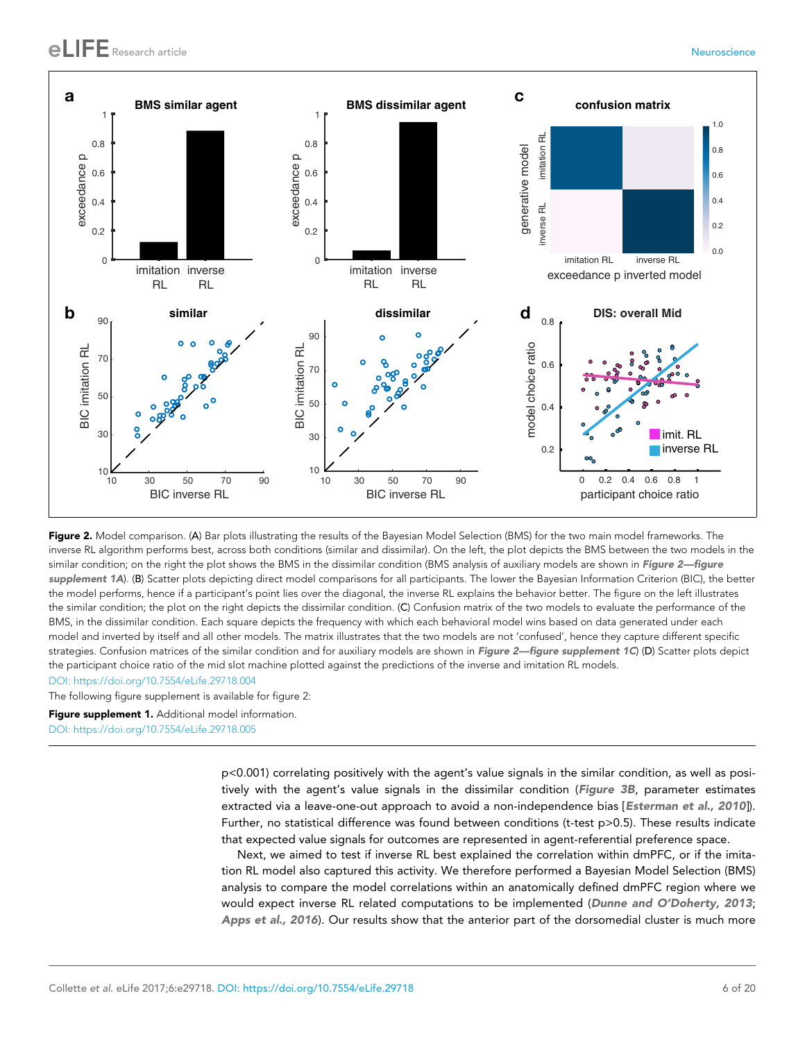<span id="page-5-0"></span>

Figure 2. Model comparison. (A) Bar plots illustrating the results of the Bayesian Model Selection (BMS) for the two main model frameworks. The inverse RL algorithm performs best, across both conditions (similar and dissimilar). On the left, the plot depicts the BMS between the two models in the similar condition; on the right the plot shows the BMS in the dissimilar condition (BMS analysis of auxiliary models are shown in Figure 2—figure supplement 1A). (B) Scatter plots depicting direct model comparisons for all participants. The lower the Bayesian Information Criterion (BIC), the better the model performs, hence if a participant's point lies over the diagonal, the inverse RL explains the behavior better. The figure on the left illustrates the similar condition; the plot on the right depicts the dissimilar condition. (C) Confusion matrix of the two models to evaluate the performance of the BMS, in the dissimilar condition. Each square depicts the frequency with which each behavioral model wins based on data generated under each model and inverted by itself and all other models. The matrix illustrates that the two models are not 'confused', hence they capture different specific strategies. Confusion matrices of the similar condition and for auxiliary models are shown in Figure 2—figure supplement 1C) (D) Scatter plots depict the participant choice ratio of the mid slot machine plotted against the predictions of the inverse and imitation RL models. [DOI: https://doi.org/10.7554/eLife.29718.004](https://doi.org/10.7554/eLife.29718.004)

The following figure supplement is available for figure 2:

Figure supplement 1. Additional model information. [DOI: https://doi.org/10.7554/eLife.29718.005](https://doi.org/10.7554/eLife.29718.005)

> p<0.001) correlating positively with the agent's value signals in the similar condition, as well as positively with the agent's value signals in the dissimilar condition ([Figure 3B](#page-6-0), parameter estimates extracted via a leave-one-out approach to avoid a non-independence bias [[Esterman et al., 2010](#page-18-0)]). Further, no statistical difference was found between conditions (t-test p>0.5). These results indicate that expected value signals for outcomes are represented in agent-referential preference space.

> Next, we aimed to test if inverse RL best explained the correlation within dmPFC, or if the imitation RL model also captured this activity. We therefore performed a Bayesian Model Selection (BMS) analysis to compare the model correlations within an anatomically defined dmPFC region where we would expect inverse RL related computations to be implemented ([Dunne and O'Doherty, 2013](#page-18-0); [Apps et al., 2016](#page-17-0)). Our results show that the anterior part of the dorsomedial cluster is much more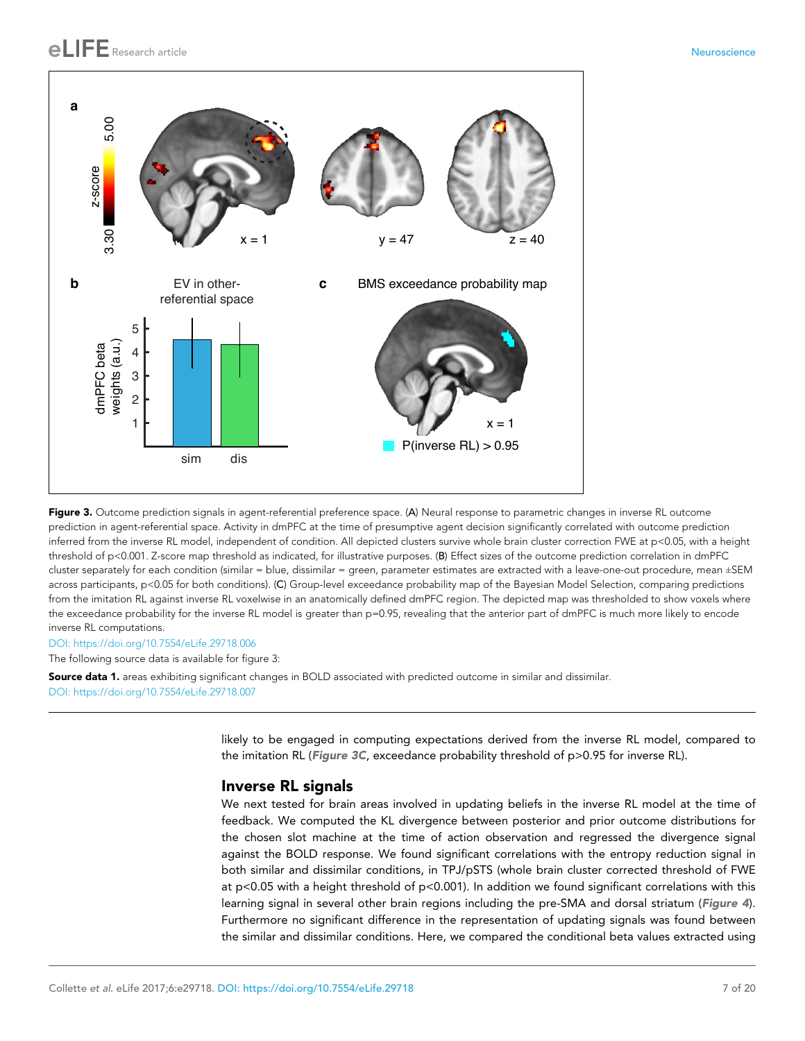<span id="page-6-0"></span>

Figure 3. Outcome prediction signals in agent-referential preference space. (A) Neural response to parametric changes in inverse RL outcome prediction in agent-referential space. Activity in dmPFC at the time of presumptive agent decision significantly correlated with outcome prediction inferred from the inverse RL model, independent of condition. All depicted clusters survive whole brain cluster correction FWE at p<0.05, with a height threshold of p<0.001. Z-score map threshold as indicated, for illustrative purposes. (B) Effect sizes of the outcome prediction correlation in dmPFC cluster separately for each condition (similar = blue, dissimilar = green, parameter estimates are extracted with a leave-one-out procedure, mean ±SEM across participants, p<0.05 for both conditions). (C) Group-level exceedance probability map of the Bayesian Model Selection, comparing predictions from the imitation RL against inverse RL voxelwise in an anatomically defined dmPFC region. The depicted map was thresholded to show voxels where the exceedance probability for the inverse RL model is greater than p=0.95, revealing that the anterior part of dmPFC is much more likely to encode inverse RL computations.

#### [DOI: https://doi.org/10.7554/eLife.29718.006](https://doi.org/10.7554/eLife.29718.006)

The following source data is available for figure 3:

Source data 1. areas exhibiting significant changes in BOLD associated with predicted outcome in similar and dissimilar. [DOI: https://doi.org/10.7554/eLife.29718.007](https://doi.org/10.7554/eLife.29718.007)

> likely to be engaged in computing expectations derived from the inverse RL model, compared to the imitation RL (Figure  $3C$ , exceedance probability threshold of  $p > 0.95$  for inverse RL).

#### Inverse RL signals

We next tested for brain areas involved in updating beliefs in the inverse RL model at the time of feedback. We computed the KL divergence between posterior and prior outcome distributions for the chosen slot machine at the time of action observation and regressed the divergence signal against the BOLD response. We found significant correlations with the entropy reduction signal in both similar and dissimilar conditions, in TPJ/pSTS (whole brain cluster corrected threshold of FWE at p<0.05 with a height threshold of p<0.001). In addition we found significant correlations with this learning signal in several other brain regions including the pre-SMA and dorsal striatum ([Figure 4](#page-7-0)). Furthermore no significant difference in the representation of updating signals was found between the similar and dissimilar conditions. Here, we compared the conditional beta values extracted using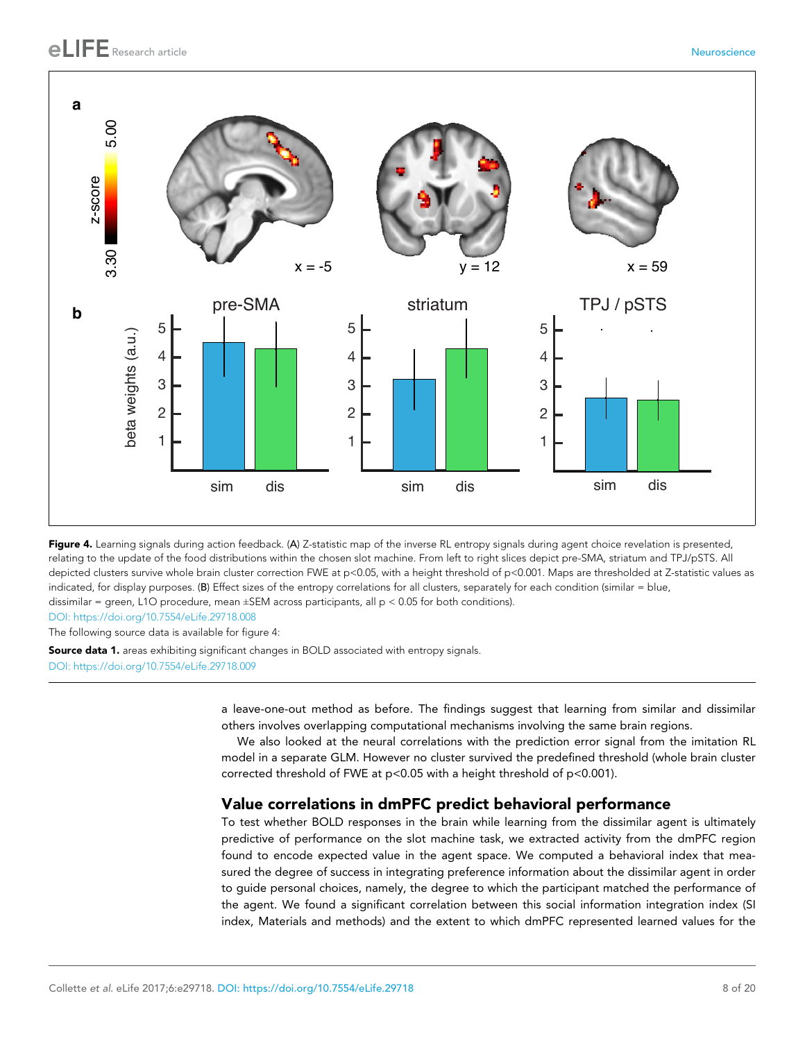<span id="page-7-0"></span>

Figure 4. Learning signals during action feedback. (A) Z-statistic map of the inverse RL entropy signals during agent choice revelation is presented, relating to the update of the food distributions within the chosen slot machine. From left to right slices depict pre-SMA, striatum and TPJ/pSTS. All depicted clusters survive whole brain cluster correction FWE at p<0.05, with a height threshold of p<0.001. Maps are thresholded at Z-statistic values as indicated, for display purposes. (B) Effect sizes of the entropy correlations for all clusters, separately for each condition (similar = blue, dissimilar = green, L1O procedure, mean  $\pm$ SEM across participants, all  $p < 0.05$  for both conditions).

[DOI: https://doi.org/10.7554/eLife.29718.008](https://doi.org/10.7554/eLife.29718.008)

The following source data is available for figure 4:

Source data 1. areas exhibiting significant changes in BOLD associated with entropy signals. [DOI: https://doi.org/10.7554/eLife.29718.009](https://doi.org/10.7554/eLife.29718.009)

> a leave-one-out method as before. The findings suggest that learning from similar and dissimilar others involves overlapping computational mechanisms involving the same brain regions.

> We also looked at the neural correlations with the prediction error signal from the imitation RL model in a separate GLM. However no cluster survived the predefined threshold (whole brain cluster corrected threshold of FWE at p<0.05 with a height threshold of p<0.001).

### Value correlations in dmPFC predict behavioral performance

To test whether BOLD responses in the brain while learning from the dissimilar agent is ultimately predictive of performance on the slot machine task, we extracted activity from the dmPFC region found to encode expected value in the agent space. We computed a behavioral index that measured the degree of success in integrating preference information about the dissimilar agent in order to guide personal choices, namely, the degree to which the participant matched the performance of the agent. We found a significant correlation between this social information integration index (SI index, Materials and methods) and the extent to which dmPFC represented learned values for the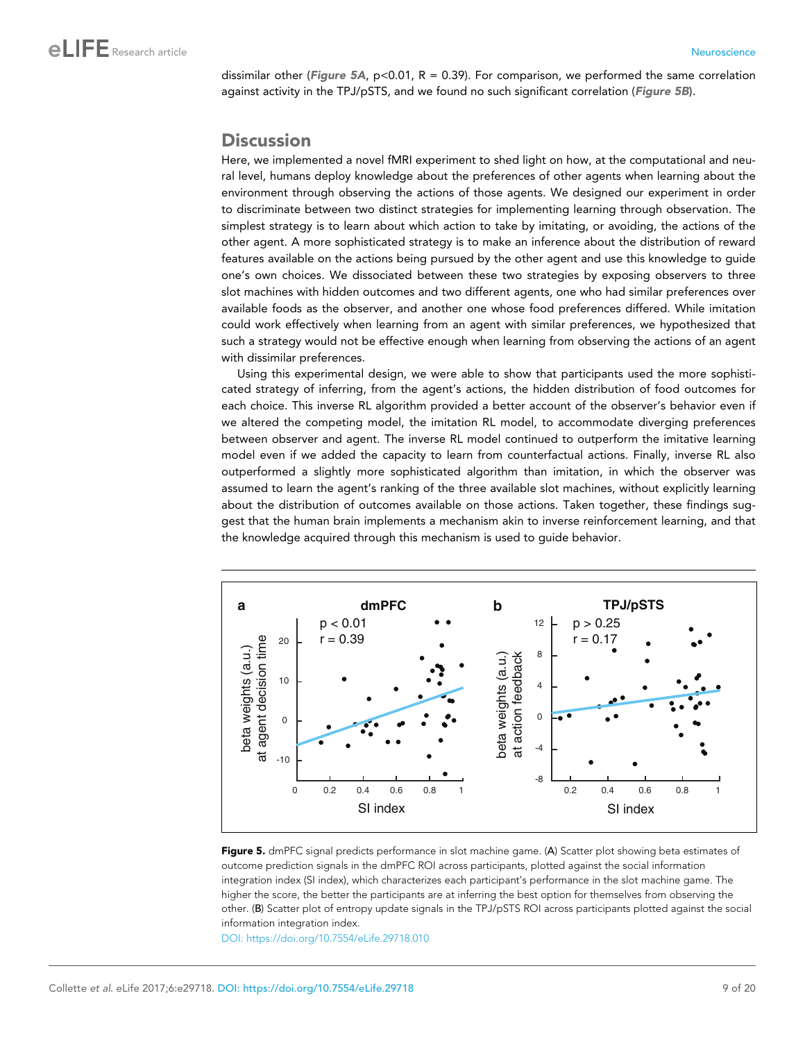dissimilar other (Figure 5A,  $p<0.01$ , R = 0.39). For comparison, we performed the same correlation against activity in the TPJ/pSTS, and we found no such significant correlation (Figure 5B).

# **Discussion**

Here, we implemented a novel fMRI experiment to shed light on how, at the computational and neural level, humans deploy knowledge about the preferences of other agents when learning about the environment through observing the actions of those agents. We designed our experiment in order to discriminate between two distinct strategies for implementing learning through observation. The simplest strategy is to learn about which action to take by imitating, or avoiding, the actions of the other agent. A more sophisticated strategy is to make an inference about the distribution of reward features available on the actions being pursued by the other agent and use this knowledge to guide one's own choices. We dissociated between these two strategies by exposing observers to three slot machines with hidden outcomes and two different agents, one who had similar preferences over available foods as the observer, and another one whose food preferences differed. While imitation could work effectively when learning from an agent with similar preferences, we hypothesized that such a strategy would not be effective enough when learning from observing the actions of an agent with dissimilar preferences.

Using this experimental design, we were able to show that participants used the more sophisticated strategy of inferring, from the agent's actions, the hidden distribution of food outcomes for each choice. This inverse RL algorithm provided a better account of the observer's behavior even if we altered the competing model, the imitation RL model, to accommodate diverging preferences between observer and agent. The inverse RL model continued to outperform the imitative learning model even if we added the capacity to learn from counterfactual actions. Finally, inverse RL also outperformed a slightly more sophisticated algorithm than imitation, in which the observer was assumed to learn the agent's ranking of the three available slot machines, without explicitly learning about the distribution of outcomes available on those actions. Taken together, these findings suggest that the human brain implements a mechanism akin to inverse reinforcement learning, and that the knowledge acquired through this mechanism is used to guide behavior.



Figure 5. dmPFC signal predicts performance in slot machine game. (A) Scatter plot showing beta estimates of outcome prediction signals in the dmPFC ROI across participants, plotted against the social information integration index (SI index), which characterizes each participant's performance in the slot machine game. The higher the score, the better the participants are at inferring the best option for themselves from observing the other. (B) Scatter plot of entropy update signals in the TPJ/pSTS ROI across participants plotted against the social information integration index.

[DOI: https://doi.org/10.7554/eLife.29718.010](https://doi.org/10.7554/eLife.29718.010)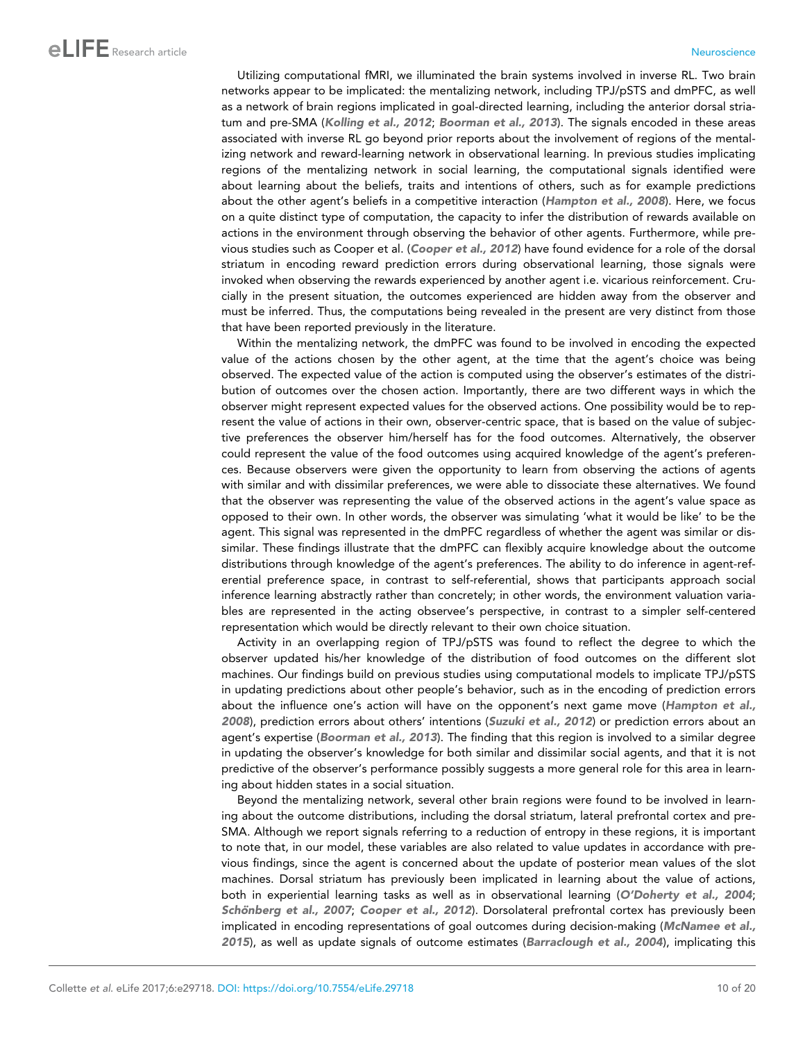Utilizing computational fMRI, we illuminated the brain systems involved in inverse RL. Two brain networks appear to be implicated: the mentalizing network, including TPJ/pSTS and dmPFC, as well as a network of brain regions implicated in goal-directed learning, including the anterior dorsal stria-tum and pre-SMA ([Kolling et al., 2012](#page-18-0); [Boorman et al., 2013](#page-18-0)). The signals encoded in these areas associated with inverse RL go beyond prior reports about the involvement of regions of the mentalizing network and reward-learning network in observational learning. In previous studies implicating regions of the mentalizing network in social learning, the computational signals identified were about learning about the beliefs, traits and intentions of others, such as for example predictions about the other agent's beliefs in a competitive interaction ([Hampton et al., 2008](#page-18-0)). Here, we focus on a quite distinct type of computation, the capacity to infer the distribution of rewards available on actions in the environment through observing the behavior of other agents. Furthermore, while previous studies such as Cooper et al. ([Cooper et al., 2012](#page-18-0)) have found evidence for a role of the dorsal striatum in encoding reward prediction errors during observational learning, those signals were invoked when observing the rewards experienced by another agent i.e. vicarious reinforcement. Crucially in the present situation, the outcomes experienced are hidden away from the observer and must be inferred. Thus, the computations being revealed in the present are very distinct from those that have been reported previously in the literature.

Within the mentalizing network, the dmPFC was found to be involved in encoding the expected value of the actions chosen by the other agent, at the time that the agent's choice was being observed. The expected value of the action is computed using the observer's estimates of the distribution of outcomes over the chosen action. Importantly, there are two different ways in which the observer might represent expected values for the observed actions. One possibility would be to represent the value of actions in their own, observer-centric space, that is based on the value of subjective preferences the observer him/herself has for the food outcomes. Alternatively, the observer could represent the value of the food outcomes using acquired knowledge of the agent's preferences. Because observers were given the opportunity to learn from observing the actions of agents with similar and with dissimilar preferences, we were able to dissociate these alternatives. We found that the observer was representing the value of the observed actions in the agent's value space as opposed to their own. In other words, the observer was simulating 'what it would be like' to be the agent. This signal was represented in the dmPFC regardless of whether the agent was similar or dissimilar. These findings illustrate that the dmPFC can flexibly acquire knowledge about the outcome distributions through knowledge of the agent's preferences. The ability to do inference in agent-referential preference space, in contrast to self-referential, shows that participants approach social inference learning abstractly rather than concretely; in other words, the environment valuation variables are represented in the acting observee's perspective, in contrast to a simpler self-centered representation which would be directly relevant to their own choice situation.

Activity in an overlapping region of TPJ/pSTS was found to reflect the degree to which the observer updated his/her knowledge of the distribution of food outcomes on the different slot machines. Our findings build on previous studies using computational models to implicate TPJ/pSTS in updating predictions about other people's behavior, such as in the encoding of prediction errors about the influence one's action will have on the opponent's next game move ([Hampton et al.,](#page-18-0) [2008](#page-18-0)), prediction errors about others' intentions ([Suzuki et al., 2012](#page-19-0)) or prediction errors about an agent's expertise ([Boorman et al., 2013](#page-18-0)). The finding that this region is involved to a similar degree in updating the observer's knowledge for both similar and dissimilar social agents, and that it is not predictive of the observer's performance possibly suggests a more general role for this area in learning about hidden states in a social situation.

Beyond the mentalizing network, several other brain regions were found to be involved in learning about the outcome distributions, including the dorsal striatum, lateral prefrontal cortex and pre-SMA. Although we report signals referring to a reduction of entropy in these regions, it is important to note that, in our model, these variables are also related to value updates in accordance with previous findings, since the agent is concerned about the update of posterior mean values of the slot machines. Dorsal striatum has previously been implicated in learning about the value of actions, both in experiential learning tasks as well as in observational learning ([O'Doherty et al., 2004](#page-18-0); Schönberg et al., 2007; [Cooper et al., 2012](#page-18-0)). Dorsolateral prefrontal cortex has previously been implicated in encoding representations of goal outcomes during decision-making ([McNamee et al.,](#page-18-0) [2015](#page-18-0)), as well as update signals of outcome estimates ([Barraclough et al., 2004](#page-17-0)), implicating this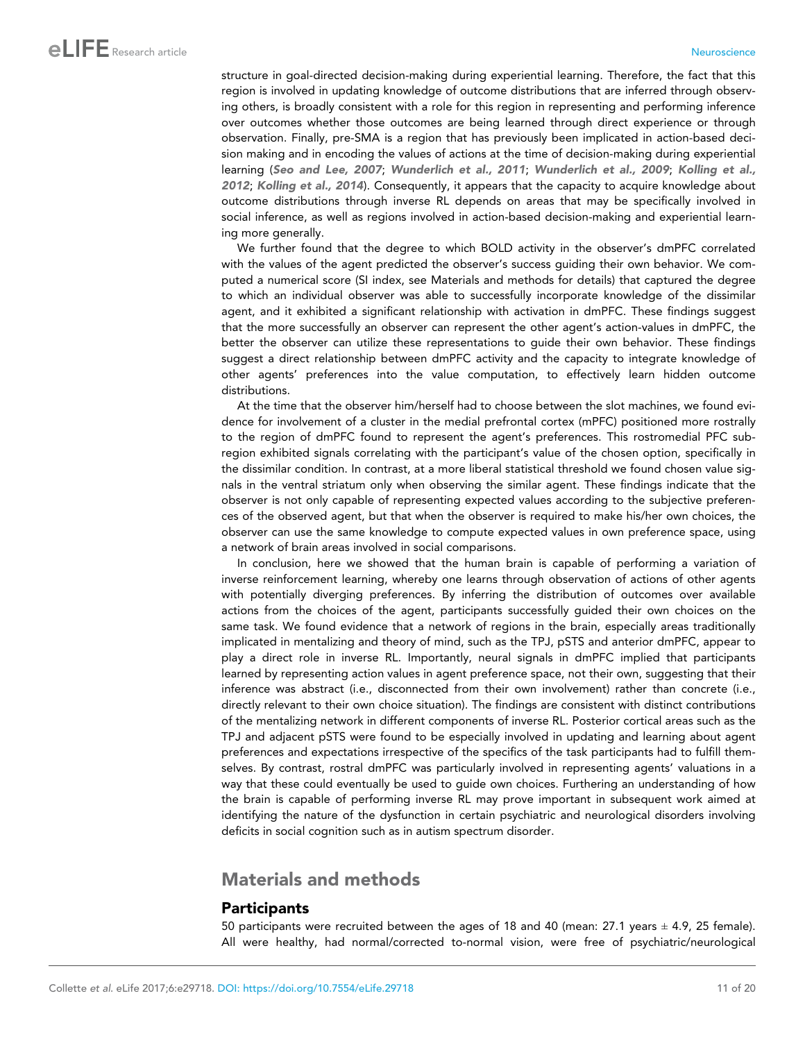structure in goal-directed decision-making during experiential learning. Therefore, the fact that this region is involved in updating knowledge of outcome distributions that are inferred through observing others, is broadly consistent with a role for this region in representing and performing inference over outcomes whether those outcomes are being learned through direct experience or through observation. Finally, pre-SMA is a region that has previously been implicated in action-based decision making and in encoding the values of actions at the time of decision-making during experiential learning ([Seo and Lee, 2007](#page-18-0); [Wunderlich et al., 2011](#page-19-0); [Wunderlich et al., 2009](#page-19-0); [Kolling et al.,](#page-18-0) [2012](#page-18-0); [Kolling et al., 2014](#page-18-0)). Consequently, it appears that the capacity to acquire knowledge about outcome distributions through inverse RL depends on areas that may be specifically involved in social inference, as well as regions involved in action-based decision-making and experiential learning more generally.

We further found that the degree to which BOLD activity in the observer's dmPFC correlated with the values of the agent predicted the observer's success guiding their own behavior. We computed a numerical score (SI index, see Materials and methods for details) that captured the degree to which an individual observer was able to successfully incorporate knowledge of the dissimilar agent, and it exhibited a significant relationship with activation in dmPFC. These findings suggest that the more successfully an observer can represent the other agent's action-values in dmPFC, the better the observer can utilize these representations to guide their own behavior. These findings suggest a direct relationship between dmPFC activity and the capacity to integrate knowledge of other agents' preferences into the value computation, to effectively learn hidden outcome distributions.

At the time that the observer him/herself had to choose between the slot machines, we found evidence for involvement of a cluster in the medial prefrontal cortex (mPFC) positioned more rostrally to the region of dmPFC found to represent the agent's preferences. This rostromedial PFC subregion exhibited signals correlating with the participant's value of the chosen option, specifically in the dissimilar condition. In contrast, at a more liberal statistical threshold we found chosen value signals in the ventral striatum only when observing the similar agent. These findings indicate that the observer is not only capable of representing expected values according to the subjective preferences of the observed agent, but that when the observer is required to make his/her own choices, the observer can use the same knowledge to compute expected values in own preference space, using a network of brain areas involved in social comparisons.

In conclusion, here we showed that the human brain is capable of performing a variation of inverse reinforcement learning, whereby one learns through observation of actions of other agents with potentially diverging preferences. By inferring the distribution of outcomes over available actions from the choices of the agent, participants successfully guided their own choices on the same task. We found evidence that a network of regions in the brain, especially areas traditionally implicated in mentalizing and theory of mind, such as the TPJ, pSTS and anterior dmPFC, appear to play a direct role in inverse RL. Importantly, neural signals in dmPFC implied that participants learned by representing action values in agent preference space, not their own, suggesting that their inference was abstract (i.e., disconnected from their own involvement) rather than concrete (i.e., directly relevant to their own choice situation). The findings are consistent with distinct contributions of the mentalizing network in different components of inverse RL. Posterior cortical areas such as the TPJ and adjacent pSTS were found to be especially involved in updating and learning about agent preferences and expectations irrespective of the specifics of the task participants had to fulfill themselves. By contrast, rostral dmPFC was particularly involved in representing agents' valuations in a way that these could eventually be used to guide own choices. Furthering an understanding of how the brain is capable of performing inverse RL may prove important in subsequent work aimed at identifying the nature of the dysfunction in certain psychiatric and neurological disorders involving deficits in social cognition such as in autism spectrum disorder.

# Materials and methods

### Participants

50 participants were recruited between the ages of 18 and 40 (mean:  $27.1$  years  $\pm$  4.9, 25 female). All were healthy, had normal/corrected to-normal vision, were free of psychiatric/neurological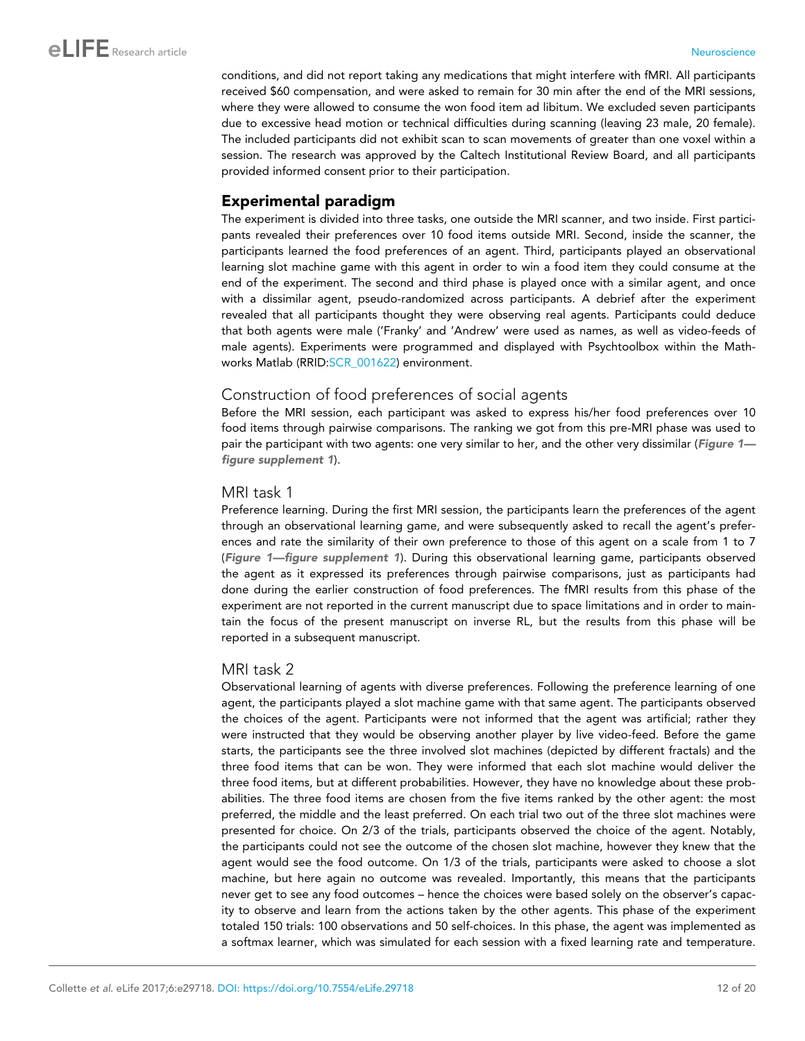conditions, and did not report taking any medications that might interfere with fMRI. All participants received \$60 compensation, and were asked to remain for 30 min after the end of the MRI sessions, where they were allowed to consume the won food item ad libitum. We excluded seven participants due to excessive head motion or technical difficulties during scanning (leaving 23 male, 20 female). The included participants did not exhibit scan to scan movements of greater than one voxel within a session. The research was approved by the Caltech Institutional Review Board, and all participants provided informed consent prior to their participation.

## Experimental paradigm

The experiment is divided into three tasks, one outside the MRI scanner, and two inside. First participants revealed their preferences over 10 food items outside MRI. Second, inside the scanner, the participants learned the food preferences of an agent. Third, participants played an observational learning slot machine game with this agent in order to win a food item they could consume at the end of the experiment. The second and third phase is played once with a similar agent, and once with a dissimilar agent, pseudo-randomized across participants. A debrief after the experiment revealed that all participants thought they were observing real agents. Participants could deduce that both agents were male ('Franky' and 'Andrew' were used as names, as well as video-feeds of male agents). Experiments were programmed and displayed with Psychtoolbox within the Mathworks Matlab (RRID[:SCR\\_001622](https://scicrunch.org/resolver/SCR_001622)) environment.

## Construction of food preferences of social agents

Before the MRI session, each participant was asked to express his/her food preferences over 10 food items through pairwise comparisons. The ranking we got from this pre-MRI phase was used to pair the participant with two agents: one very similar to her, and the other very dissimilar ([Figure 1](#page-2-0) [figure supplement 1](#page-2-0)).

## MRI task 1

Preference learning. During the first MRI session, the participants learn the preferences of the agent through an observational learning game, and were subsequently asked to recall the agent's preferences and rate the similarity of their own preference to those of this agent on a scale from 1 to 7 ([Figure 1—figure supplement 1](#page-2-0)). During this observational learning game, participants observed the agent as it expressed its preferences through pairwise comparisons, just as participants had done during the earlier construction of food preferences. The fMRI results from this phase of the experiment are not reported in the current manuscript due to space limitations and in order to maintain the focus of the present manuscript on inverse RL, but the results from this phase will be reported in a subsequent manuscript.

### MRI task 2

Observational learning of agents with diverse preferences. Following the preference learning of one agent, the participants played a slot machine game with that same agent. The participants observed the choices of the agent. Participants were not informed that the agent was artificial; rather they were instructed that they would be observing another player by live video-feed. Before the game starts, the participants see the three involved slot machines (depicted by different fractals) and the three food items that can be won. They were informed that each slot machine would deliver the three food items, but at different probabilities. However, they have no knowledge about these probabilities. The three food items are chosen from the five items ranked by the other agent: the most preferred, the middle and the least preferred. On each trial two out of the three slot machines were presented for choice. On 2/3 of the trials, participants observed the choice of the agent. Notably, the participants could not see the outcome of the chosen slot machine, however they knew that the agent would see the food outcome. On 1/3 of the trials, participants were asked to choose a slot machine, but here again no outcome was revealed. Importantly, this means that the participants never get to see any food outcomes – hence the choices were based solely on the observer's capacity to observe and learn from the actions taken by the other agents. This phase of the experiment totaled 150 trials: 100 observations and 50 self-choices. In this phase, the agent was implemented as a softmax learner, which was simulated for each session with a fixed learning rate and temperature.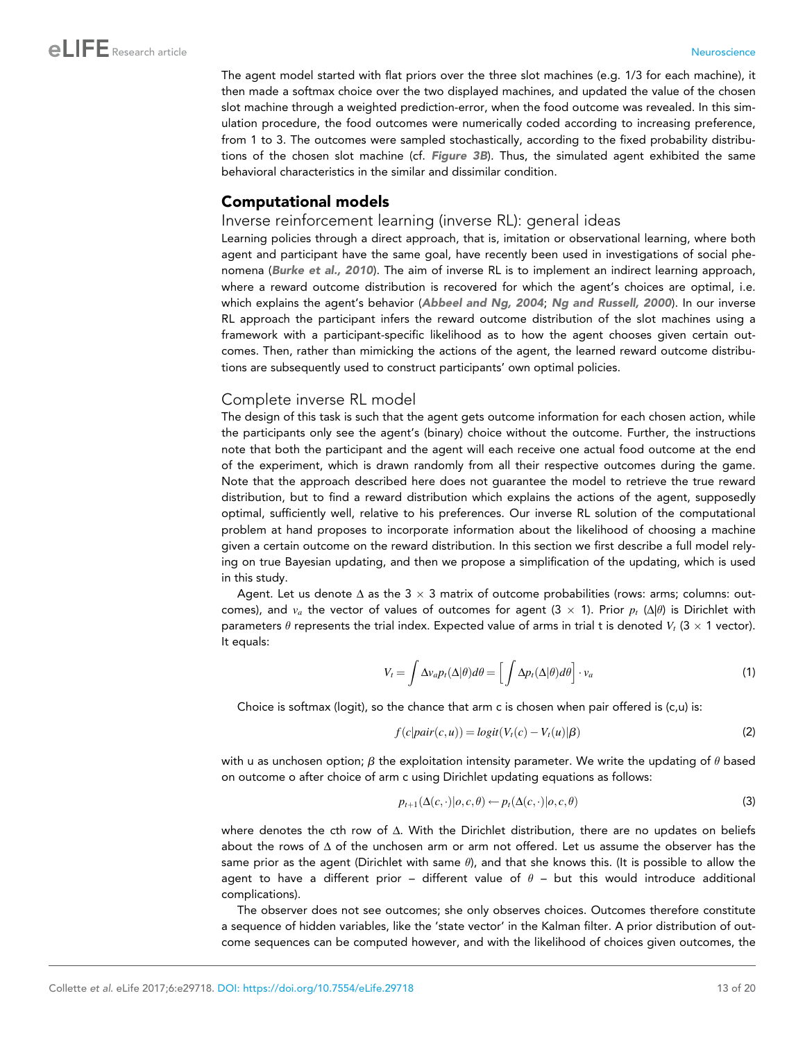<span id="page-12-0"></span>The agent model started with flat priors over the three slot machines (e.g. 1/3 for each machine), it then made a softmax choice over the two displayed machines, and updated the value of the chosen slot machine through a weighted prediction-error, when the food outcome was revealed. In this simulation procedure, the food outcomes were numerically coded according to increasing preference, from 1 to 3. The outcomes were sampled stochastically, according to the fixed probability distributions of the chosen slot machine (cf. [Figure 3B](#page-6-0)). Thus, the simulated agent exhibited the same behavioral characteristics in the similar and dissimilar condition.

## Computational models

#### Inverse reinforcement learning (inverse RL): general ideas

Learning policies through a direct approach, that is, imitation or observational learning, where both agent and participant have the same goal, have recently been used in investigations of social phenomena ([Burke et al., 2010](#page-18-0)). The aim of inverse RL is to implement an indirect learning approach, where a reward outcome distribution is recovered for which the agent's choices are optimal, i.e. which explains the agent's behavior ([Abbeel and Ng, 2004](#page-17-0); [Ng and Russell, 2000](#page-18-0)). In our inverse RL approach the participant infers the reward outcome distribution of the slot machines using a framework with a participant-specific likelihood as to how the agent chooses given certain outcomes. Then, rather than mimicking the actions of the agent, the learned reward outcome distributions are subsequently used to construct participants' own optimal policies.

#### Complete inverse RL model

The design of this task is such that the agent gets outcome information for each chosen action, while the participants only see the agent's (binary) choice without the outcome. Further, the instructions note that both the participant and the agent will each receive one actual food outcome at the end of the experiment, which is drawn randomly from all their respective outcomes during the game. Note that the approach described here does not guarantee the model to retrieve the true reward distribution, but to find a reward distribution which explains the actions of the agent, supposedly optimal, sufficiently well, relative to his preferences. Our inverse RL solution of the computational problem at hand proposes to incorporate information about the likelihood of choosing a machine given a certain outcome on the reward distribution. In this section we first describe a full model relying on true Bayesian updating, and then we propose a simplification of the updating, which is used in this study.

Agent. Let us denote  $\Delta$  as the 3  $\times$  3 matrix of outcome probabilities (rows: arms; columns: outcomes), and  $v_a$  the vector of values of outcomes for agent (3  $\times$  1). Prior  $p_t$  (∆ $|\theta\rangle$  is Dirichlet with parameters  $\theta$  represents the trial index. Expected value of arms in trial t is denoted  $V_t$  (3  $\times$  1 vector). It equals:

$$
V_t = \int \Delta v_a p_t(\Delta|\theta) d\theta = \left[ \int \Delta p_t(\Delta|\theta) d\theta \right] \cdot v_a \tag{1}
$$

Choice is softmax (logit), so the chance that arm c is chosen when pair offered is (c,u) is:

$$
f(c|pair(c, u)) = logit(Vt(c) - Vt(u)|\beta)
$$
\n(2)

with u as unchosen option;  $\beta$  the exploitation intensity parameter. We write the updating of  $\theta$  based on outcome o after choice of arm c using Dirichlet updating equations as follows:

$$
p_{t+1}(\Delta(c,\cdot)|o,c,\theta) \leftarrow p_t(\Delta(c,\cdot)|o,c,\theta)
$$
\n(3)

where denotes the cth row of  $\Delta$ . With the Dirichlet distribution, there are no updates on beliefs about the rows of  $\Delta$  of the unchosen arm or arm not offered. Let us assume the observer has the same prior as the agent (Dirichlet with same  $\theta$ ), and that she knows this. (It is possible to allow the agent to have a different prior – different value of  $\theta$  – but this would introduce additional complications).

The observer does not see outcomes; she only observes choices. Outcomes therefore constitute a sequence of hidden variables, like the 'state vector' in the Kalman filter. A prior distribution of outcome sequences can be computed however, and with the likelihood of choices given outcomes, the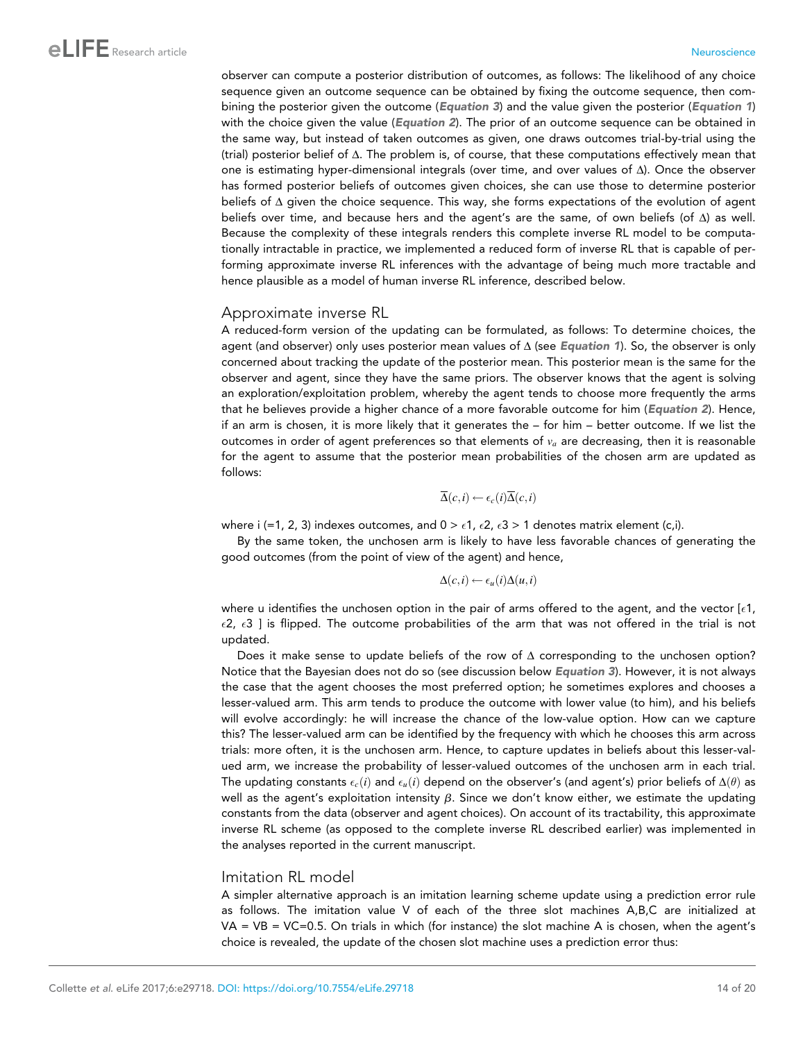observer can compute a posterior distribution of outcomes, as follows: The likelihood of any choice sequence given an outcome sequence can be obtained by fixing the outcome sequence, then com-bining the posterior given the outcome ([Equation 3](#page-12-0)) and the value given the posterior ([Equation 1](#page-12-0)) with the choice given the value ([Equation 2](#page-12-0)). The prior of an outcome sequence can be obtained in the same way, but instead of taken outcomes as given, one draws outcomes trial-by-trial using the (trial) posterior belief of  $\Delta$ . The problem is, of course, that these computations effectively mean that one is estimating hyper-dimensional integrals (over time, and over values of  $\Delta$ ). Once the observer has formed posterior beliefs of outcomes given choices, she can use those to determine posterior beliefs of  $\Delta$  given the choice sequence. This way, she forms expectations of the evolution of agent beliefs over time, and because hers and the agent's are the same, of own beliefs (of  $\Delta$ ) as well. Because the complexity of these integrals renders this complete inverse RL model to be computationally intractable in practice, we implemented a reduced form of inverse RL that is capable of performing approximate inverse RL inferences with the advantage of being much more tractable and hence plausible as a model of human inverse RL inference, described below.

#### Approximate inverse RL

A reduced-form version of the updating can be formulated, as follows: To determine choices, the agent (and observer) only uses posterior mean values of  $\Delta$  (see [Equation 1](#page-12-0)). So, the observer is only concerned about tracking the update of the posterior mean. This posterior mean is the same for the observer and agent, since they have the same priors. The observer knows that the agent is solving an exploration/exploitation problem, whereby the agent tends to choose more frequently the arms that he believes provide a higher chance of a more favorable outcome for him ([Equation 2](#page-12-0)). Hence, if an arm is chosen, it is more likely that it generates the – for him – better outcome. If we list the outcomes in order of agent preferences so that elements of  $v_a$  are decreasing, then it is reasonable for the agent to assume that the posterior mean probabilities of the chosen arm are updated as follows:

$$
\overline{\Delta}(c,i) \leftarrow \epsilon_c(i)\overline{\Delta}(c,i)
$$

where i (=1, 2, 3) indexes outcomes, and  $0 > \epsilon 1$ ,  $\epsilon 2$ ,  $\epsilon 3 > 1$  denotes matrix element (c,i).

By the same token, the unchosen arm is likely to have less favorable chances of generating the good outcomes (from the point of view of the agent) and hence,

$$
\Delta(c,i) \leftarrow \epsilon_u(i)\Delta(u,i)
$$

where u identifies the unchosen option in the pair of arms offered to the agent, and the vector  $[\epsilon 1,$  $\epsilon$ 2,  $\epsilon$ 3 ] is flipped. The outcome probabilities of the arm that was not offered in the trial is not updated.

Does it make sense to update beliefs of the row of  $\Delta$  corresponding to the unchosen option? Notice that the Bayesian does not do so (see discussion below [Equation 3](#page-12-0)). However, it is not always the case that the agent chooses the most preferred option; he sometimes explores and chooses a lesser-valued arm. This arm tends to produce the outcome with lower value (to him), and his beliefs will evolve accordingly: he will increase the chance of the low-value option. How can we capture this? The lesser-valued arm can be identified by the frequency with which he chooses this arm across trials: more often, it is the unchosen arm. Hence, to capture updates in beliefs about this lesser-valued arm, we increase the probability of lesser-valued outcomes of the unchosen arm in each trial. The updating constants  $\epsilon_{\epsilon}(i)$  and  $\epsilon_{\mu}(i)$  depend on the observer's (and agent's) prior beliefs of  $\Delta(\theta)$  as well as the agent's exploitation intensity  $\beta$ . Since we don't know either, we estimate the updating constants from the data (observer and agent choices). On account of its tractability, this approximate inverse RL scheme (as opposed to the complete inverse RL described earlier) was implemented in the analyses reported in the current manuscript.

#### Imitation RL model

A simpler alternative approach is an imitation learning scheme update using a prediction error rule as follows. The imitation value V of each of the three slot machines A,B,C are initialized at  $VA = VB = VC=0.5$ . On trials in which (for instance) the slot machine A is chosen, when the agent's choice is revealed, the update of the chosen slot machine uses a prediction error thus: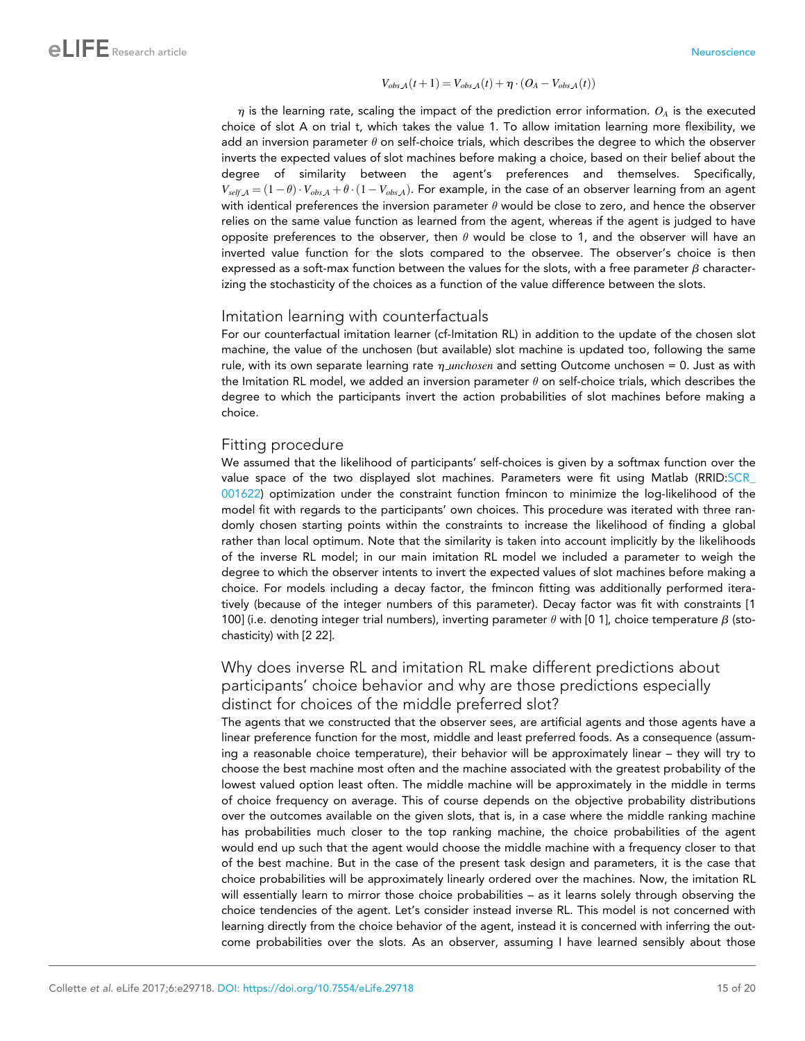$$
V_{obs\ A}(t+1) = V_{obs\ A}(t) + \eta \cdot (O_A - V_{obs\ A}(t))
$$

 $\eta$  is the learning rate, scaling the impact of the prediction error information.  $O<sub>A</sub>$  is the executed choice of slot A on trial t, which takes the value 1. To allow imitation learning more flexibility, we add an inversion parameter  $\theta$  on self-choice trials, which describes the degree to which the observer inverts the expected values of slot machines before making a choice, based on their belief about the degree of similarity between the agent's preferences and themselves. Specifically,  $V_{self,A} = (1 - \theta) \cdot V_{obs,A} + \theta \cdot (1 - V_{obs,A})$ . For example, in the case of an observer learning from an agent with identical preferences the inversion parameter  $\theta$  would be close to zero, and hence the observer relies on the same value function as learned from the agent, whereas if the agent is judged to have opposite preferences to the observer, then  $\theta$  would be close to 1, and the observer will have an inverted value function for the slots compared to the observee. The observer's choice is then expressed as a soft-max function between the values for the slots, with a free parameter  $\beta$  characterizing the stochasticity of the choices as a function of the value difference between the slots.

### Imitation learning with counterfactuals

For our counterfactual imitation learner (cf-Imitation RL) in addition to the update of the chosen slot machine, the value of the unchosen (but available) slot machine is updated too, following the same rule, with its own separate learning rate  $\eta$  unchosen and setting Outcome unchosen = 0. Just as with the Imitation RL model, we added an inversion parameter  $\theta$  on self-choice trials, which describes the degree to which the participants invert the action probabilities of slot machines before making a choice.

### Fitting procedure

We assumed that the likelihood of participants' self-choices is given by a softmax function over the value space of the two displayed slot machines. Parameters were fit using Matlab (RRID:[SCR\\_](https://scicrunch.org/resolver/SCR_001622) [001622](https://scicrunch.org/resolver/SCR_001622)) optimization under the constraint function fmincon to minimize the log-likelihood of the model fit with regards to the participants' own choices. This procedure was iterated with three randomly chosen starting points within the constraints to increase the likelihood of finding a global rather than local optimum. Note that the similarity is taken into account implicitly by the likelihoods of the inverse RL model; in our main imitation RL model we included a parameter to weigh the degree to which the observer intents to invert the expected values of slot machines before making a choice. For models including a decay factor, the fmincon fitting was additionally performed iteratively (because of the integer numbers of this parameter). Decay factor was fit with constraints [1 100] (i.e. denoting integer trial numbers), inverting parameter  $\theta$  with [0 1], choice temperature  $\beta$  (stochasticity) with [2 22].

# Why does inverse RL and imitation RL make different predictions about participants' choice behavior and why are those predictions especially distinct for choices of the middle preferred slot?

The agents that we constructed that the observer sees, are artificial agents and those agents have a linear preference function for the most, middle and least preferred foods. As a consequence (assuming a reasonable choice temperature), their behavior will be approximately linear – they will try to choose the best machine most often and the machine associated with the greatest probability of the lowest valued option least often. The middle machine will be approximately in the middle in terms of choice frequency on average. This of course depends on the objective probability distributions over the outcomes available on the given slots, that is, in a case where the middle ranking machine has probabilities much closer to the top ranking machine, the choice probabilities of the agent would end up such that the agent would choose the middle machine with a frequency closer to that of the best machine. But in the case of the present task design and parameters, it is the case that choice probabilities will be approximately linearly ordered over the machines. Now, the imitation RL will essentially learn to mirror those choice probabilities – as it learns solely through observing the choice tendencies of the agent. Let's consider instead inverse RL. This model is not concerned with learning directly from the choice behavior of the agent, instead it is concerned with inferring the outcome probabilities over the slots. As an observer, assuming I have learned sensibly about those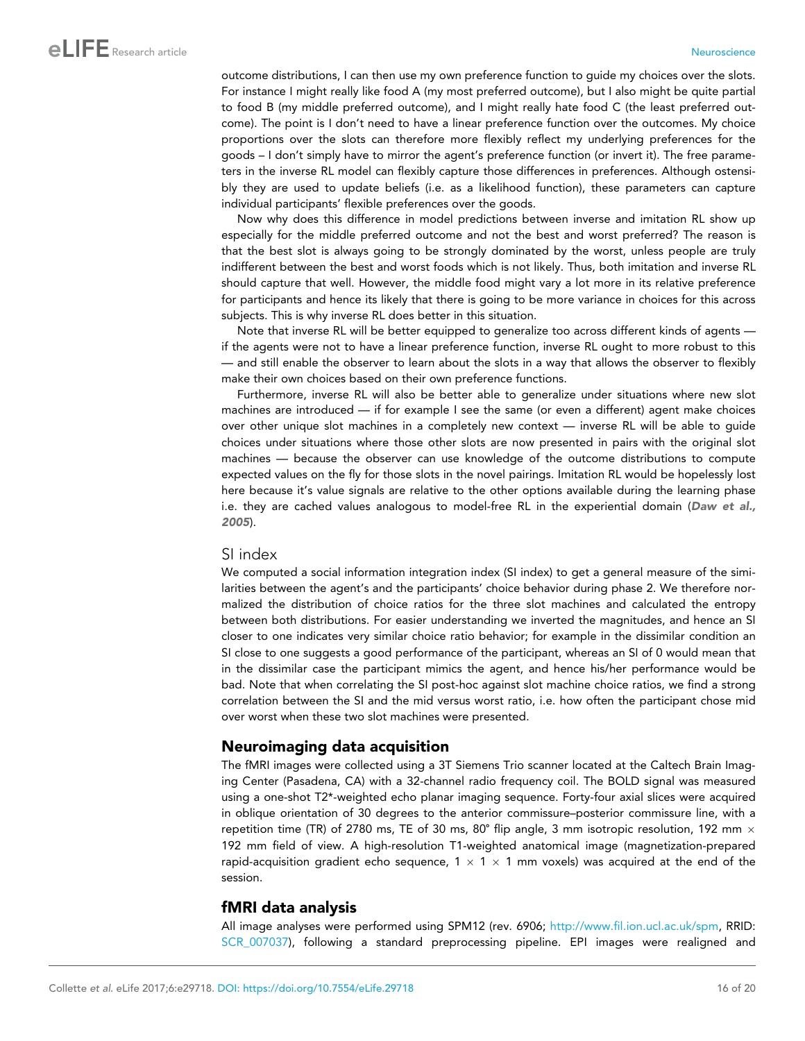outcome distributions, I can then use my own preference function to guide my choices over the slots. For instance I might really like food A (my most preferred outcome), but I also might be quite partial to food B (my middle preferred outcome), and I might really hate food C (the least preferred outcome). The point is I don't need to have a linear preference function over the outcomes. My choice proportions over the slots can therefore more flexibly reflect my underlying preferences for the goods – I don't simply have to mirror the agent's preference function (or invert it). The free parameters in the inverse RL model can flexibly capture those differences in preferences. Although ostensibly they are used to update beliefs (i.e. as a likelihood function), these parameters can capture individual participants' flexible preferences over the goods.

Now why does this difference in model predictions between inverse and imitation RL show up especially for the middle preferred outcome and not the best and worst preferred? The reason is that the best slot is always going to be strongly dominated by the worst, unless people are truly indifferent between the best and worst foods which is not likely. Thus, both imitation and inverse RL should capture that well. However, the middle food might vary a lot more in its relative preference for participants and hence its likely that there is going to be more variance in choices for this across subjects. This is why inverse RL does better in this situation.

Note that inverse RL will be better equipped to generalize too across different kinds of agents if the agents were not to have a linear preference function, inverse RL ought to more robust to this — and still enable the observer to learn about the slots in a way that allows the observer to flexibly make their own choices based on their own preference functions.

Furthermore, inverse RL will also be better able to generalize under situations where new slot machines are introduced — if for example I see the same (or even a different) agent make choices over other unique slot machines in a completely new context — inverse RL will be able to guide choices under situations where those other slots are now presented in pairs with the original slot machines — because the observer can use knowledge of the outcome distributions to compute expected values on the fly for those slots in the novel pairings. Imitation RL would be hopelessly lost here because it's value signals are relative to the other options available during the learning phase i.e. they are cached values analogous to model-free RL in the experiential domain ([Daw et al.,](#page-18-0) [2005](#page-18-0)).

#### SI index

We computed a social information integration index (SI index) to get a general measure of the similarities between the agent's and the participants' choice behavior during phase 2. We therefore normalized the distribution of choice ratios for the three slot machines and calculated the entropy between both distributions. For easier understanding we inverted the magnitudes, and hence an SI closer to one indicates very similar choice ratio behavior; for example in the dissimilar condition an SI close to one suggests a good performance of the participant, whereas an SI of 0 would mean that in the dissimilar case the participant mimics the agent, and hence his/her performance would be bad. Note that when correlating the SI post-hoc against slot machine choice ratios, we find a strong correlation between the SI and the mid versus worst ratio, i.e. how often the participant chose mid over worst when these two slot machines were presented.

#### Neuroimaging data acquisition

The fMRI images were collected using a 3T Siemens Trio scanner located at the Caltech Brain Imaging Center (Pasadena, CA) with a 32-channel radio frequency coil. The BOLD signal was measured using a one-shot T2\*-weighted echo planar imaging sequence. Forty-four axial slices were acquired in oblique orientation of 30 degrees to the anterior commissure–posterior commissure line, with a repetition time (TR) of 2780 ms, TE of 30 ms, 80° flip angle, 3 mm isotropic resolution, 192 mm  $\times$ 192 mm field of view. A high-resolution T1-weighted anatomical image (magnetization-prepared rapid-acquisition gradient echo sequence, 1  $\times$  1  $\times$  1 mm voxels) was acquired at the end of the session.

#### fMRI data analysis

All image analyses were performed using SPM12 (rev. 6906; [http://www.fil.ion.ucl.ac.uk/spm,](http://www.fil.ion.ucl.ac.uk/spm) RRID: [SCR\\_007037\)](https://scicrunch.org/resolver/SCR_007037), following a standard preprocessing pipeline. EPI images were realigned and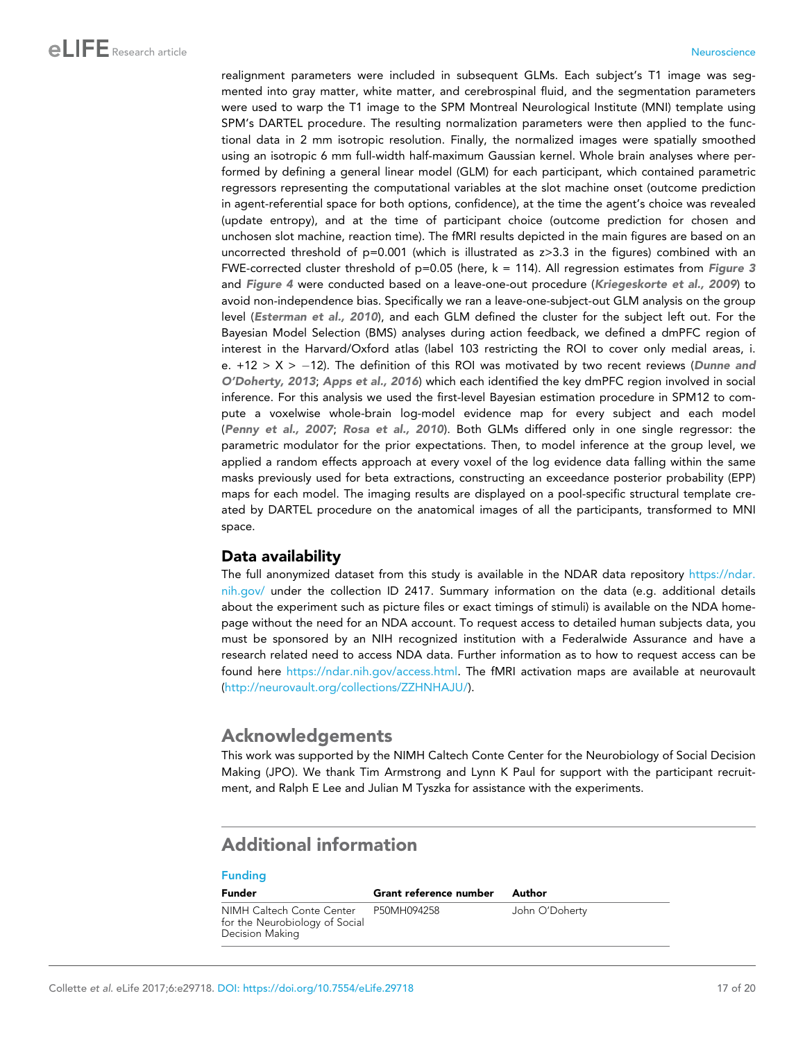<span id="page-16-0"></span>realignment parameters were included in subsequent GLMs. Each subject's T1 image was segmented into gray matter, white matter, and cerebrospinal fluid, and the segmentation parameters were used to warp the T1 image to the SPM Montreal Neurological Institute (MNI) template using SPM's DARTEL procedure. The resulting normalization parameters were then applied to the functional data in 2 mm isotropic resolution. Finally, the normalized images were spatially smoothed using an isotropic 6 mm full-width half-maximum Gaussian kernel. Whole brain analyses where performed by defining a general linear model (GLM) for each participant, which contained parametric regressors representing the computational variables at the slot machine onset (outcome prediction in agent-referential space for both options, confidence), at the time the agent's choice was revealed (update entropy), and at the time of participant choice (outcome prediction for chosen and unchosen slot machine, reaction time). The fMRI results depicted in the main figures are based on an uncorrected threshold of p=0.001 (which is illustrated as z>3.3 in the figures) combined with an FWE-corrected cluster threshold of  $p=0.05$  (here,  $k = 114$ ). All regression estimates from [Figure 3](#page-6-0) and [Figure 4](#page-7-0) were conducted based on a leave-one-out procedure ([Kriegeskorte et al., 2009](#page-18-0)) to avoid non-independence bias. Specifically we ran a leave-one-subject-out GLM analysis on the group level ([Esterman et al., 2010](#page-18-0)), and each GLM defined the cluster for the subject left out. For the Bayesian Model Selection (BMS) analyses during action feedback, we defined a dmPFC region of interest in the Harvard/Oxford atlas (label 103 restricting the ROI to cover only medial areas, i. e.  $+12 > X > -12$ ). The definition of this ROI was motivated by two recent reviews ([Dunne and](#page-18-0) [O'Doherty, 2013](#page-18-0); [Apps et al., 2016](#page-17-0)) which each identified the key dmPFC region involved in social inference. For this analysis we used the first-level Bayesian estimation procedure in SPM12 to compute a voxelwise whole-brain log-model evidence map for every subject and each model ([Penny et al., 2007](#page-18-0); [Rosa et al., 2010](#page-18-0)). Both GLMs differed only in one single regressor: the parametric modulator for the prior expectations. Then, to model inference at the group level, we applied a random effects approach at every voxel of the log evidence data falling within the same masks previously used for beta extractions, constructing an exceedance posterior probability (EPP) maps for each model. The imaging results are displayed on a pool-specific structural template created by DARTEL procedure on the anatomical images of all the participants, transformed to MNI space.

## Data availability

The full anonymized dataset from this study is available in the NDAR data repository [https://ndar.](https://ndar.nih.gov/) [nih.gov/](https://ndar.nih.gov/) under the collection ID 2417. Summary information on the data (e.g. additional details about the experiment such as picture files or exact timings of stimuli) is available on the NDA homepage without the need for an NDA account. To request access to detailed human subjects data, you must be sponsored by an NIH recognized institution with a Federalwide Assurance and have a research related need to access NDA data. Further information as to how to request access can be found here <https://ndar.nih.gov/access.html>. The fMRI activation maps are available at neurovault [\(http://neurovault.org/collections/ZZHNHAJU/](http://neurovault.org/collections/ZZHNHAJU/)).

# Acknowledgements

This work was supported by the NIMH Caltech Conte Center for the Neurobiology of Social Decision Making (JPO). We thank Tim Armstrong and Lynn K Paul for support with the participant recruitment, and Ralph E Lee and Julian M Tyszka for assistance with the experiments.

# Additional information

## Funding

| Funder                                                                         | Grant reference number | Author         |
|--------------------------------------------------------------------------------|------------------------|----------------|
| NIMH Caltech Conte Center<br>for the Neurobiology of Social<br>Decision Making | P50MH094258            | John O'Doherty |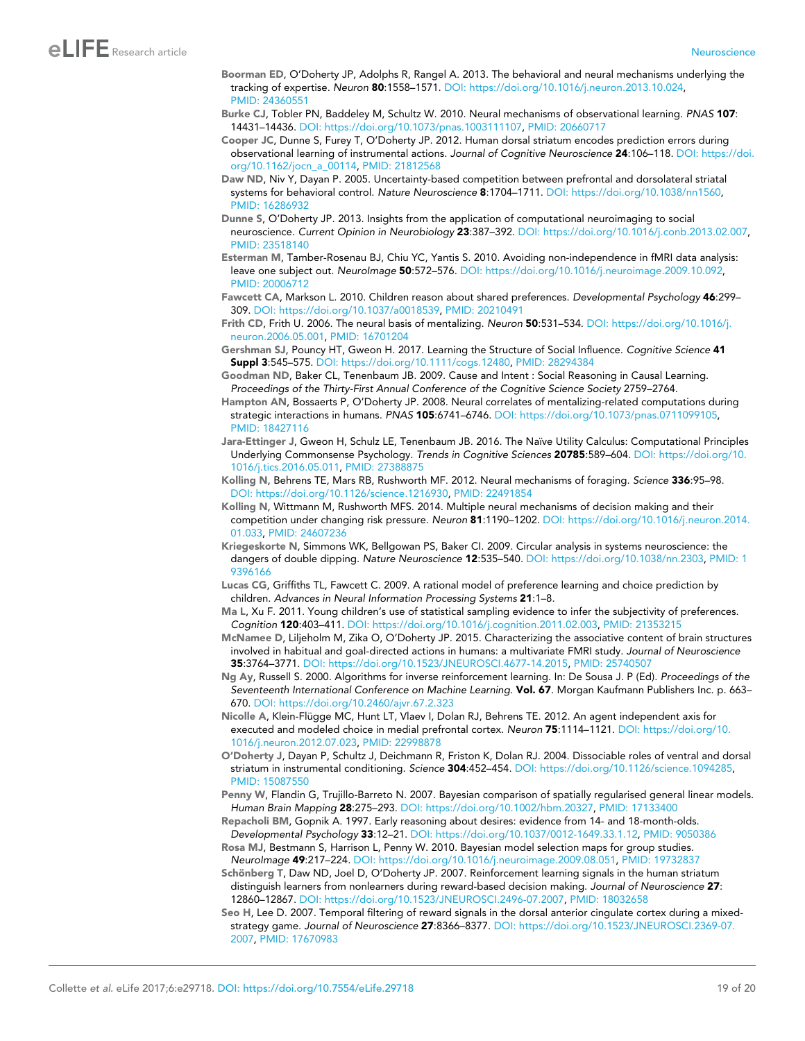- <span id="page-18-0"></span>Boorman ED, O'Doherty JP, Adolphs R, Rangel A. 2013. The behavioral and neural mechanisms underlying the tracking of expertise. Neuron 80:1558–1571. DOI: [https://doi.org/10.1016/j.neuron.2013.10.024,](https://doi.org/10.1016/j.neuron.2013.10.024) PMID: [24360551](http://www.ncbi.nlm.nih.gov/pubmed/24360551)
- Burke CJ, Tobler PN, Baddeley M, Schultz W. 2010. Neural mechanisms of observational learning. PNAS 107: 14431–14436. DOI:<https://doi.org/10.1073/pnas.1003111107>, PMID: [20660717](http://www.ncbi.nlm.nih.gov/pubmed/20660717)
- Cooper JC, Dunne S, Furey T, O'Doherty JP. 2012. Human dorsal striatum encodes prediction errors during observational learning of instrumental actions. Journal of Cognitive Neuroscience 24:106–118. DOI: [https://doi.](https://doi.org/10.1162/jocn_a_00114) [org/10.1162/jocn\\_a\\_00114](https://doi.org/10.1162/jocn_a_00114), PMID: [21812568](http://www.ncbi.nlm.nih.gov/pubmed/21812568)
- Daw ND, Niv Y, Dayan P. 2005. Uncertainty-based competition between prefrontal and dorsolateral striatal systems for behavioral control. Nature Neuroscience 8:1704-1711. DOI:<https://doi.org/10.1038/nn1560>, PMID: [16286932](http://www.ncbi.nlm.nih.gov/pubmed/16286932)
- Dunne S, O'Doherty JP. 2013. Insights from the application of computational neuroimaging to social neuroscience. Current Opinion in Neurobiology 23:387-392. DOI: [https://doi.org/10.1016/j.conb.2013.02.007,](https://doi.org/10.1016/j.conb.2013.02.007) PMID: [23518140](http://www.ncbi.nlm.nih.gov/pubmed/23518140)
- Esterman M, Tamber-Rosenau BJ, Chiu YC, Yantis S. 2010. Avoiding non-independence in fMRI data analysis: leave one subject out. NeuroImage 50:572-576. DOI: [https://doi.org/10.1016/j.neuroimage.2009.10.092,](https://doi.org/10.1016/j.neuroimage.2009.10.092) PMID: [20006712](http://www.ncbi.nlm.nih.gov/pubmed/20006712)
- Fawcett CA, Markson L. 2010. Children reason about shared preferences. Developmental Psychology 46:299-309. DOI:<https://doi.org/10.1037/a0018539>, PMID: [20210491](http://www.ncbi.nlm.nih.gov/pubmed/20210491)
- Frith CD, Frith U. 2006. The neural basis of mentalizing. Neuron 50:531-534. DOI: [https://doi.org/10.1016/j.](https://doi.org/10.1016/j.neuron.2006.05.001) [neuron.2006.05.001,](https://doi.org/10.1016/j.neuron.2006.05.001) PMID: [16701204](http://www.ncbi.nlm.nih.gov/pubmed/16701204)
- Gershman SJ, Pouncy HT, Gweon H. 2017. Learning the Structure of Social Influence. Cognitive Science 41 Suppl 3:545–575. DOI:<https://doi.org/10.1111/cogs.12480>, PMID: [28294384](http://www.ncbi.nlm.nih.gov/pubmed/28294384)
- Goodman ND, Baker CL, Tenenbaum JB. 2009. Cause and Intent : Social Reasoning in Causal Learning. Proceedings of the Thirty-First Annual Conference of the Cognitive Science Society 2759–2764.
- Hampton AN, Bossaerts P, O'Doherty JP. 2008. Neural correlates of mentalizing-related computations during strategic interactions in humans. PNAS 105:6741-6746. DOI: [https://doi.org/10.1073/pnas.0711099105,](https://doi.org/10.1073/pnas.0711099105) PMID: [18427116](http://www.ncbi.nlm.nih.gov/pubmed/18427116)
- Jara-Ettinger J, Gweon H, Schulz LE, Tenenbaum JB. 2016. The Naïve Utility Calculus: Computational Principles Underlying Commonsense Psychology. Trends in Cognitive Sciences 20785:589-604. DOI: [https://doi.org/10.](https://doi.org/10.1016/j.tics.2016.05.011) [1016/j.tics.2016.05.011](https://doi.org/10.1016/j.tics.2016.05.011), PMID: [27388875](http://www.ncbi.nlm.nih.gov/pubmed/27388875)
- Kolling N, Behrens TE, Mars RB, Rushworth MF. 2012. Neural mechanisms of foraging. Science 336:95-98. DOI: [https://doi.org/10.1126/science.1216930,](https://doi.org/10.1126/science.1216930) PMID: [22491854](http://www.ncbi.nlm.nih.gov/pubmed/22491854)
- Kolling N, Wittmann M, Rushworth MFS. 2014. Multiple neural mechanisms of decision making and their competition under changing risk pressure. Neuron 81:1190-1202. DOI: [https://doi.org/10.1016/j.neuron.2014.](https://doi.org/10.1016/j.neuron.2014.01.033) [01.033,](https://doi.org/10.1016/j.neuron.2014.01.033) PMID: [24607236](http://www.ncbi.nlm.nih.gov/pubmed/24607236)
- Kriegeskorte N, Simmons WK, Bellgowan PS, Baker CI. 2009. Circular analysis in systems neuroscience: the dangers of double dipping. Nature Neuroscience 12:535-540. DOI:<https://doi.org/10.1038/nn.2303>, PMID: [1](http://www.ncbi.nlm.nih.gov/pubmed/19396166) [9396166](http://www.ncbi.nlm.nih.gov/pubmed/19396166)
- Lucas CG, Griffiths TL, Fawcett C. 2009. A rational model of preference learning and choice prediction by children. Advances in Neural Information Processing Systems 21:1–8.
- Ma L, Xu F. 2011. Young children's use of statistical sampling evidence to infer the subjectivity of preferences. Cognition 120:403–411. DOI: [https://doi.org/10.1016/j.cognition.2011.02.003,](https://doi.org/10.1016/j.cognition.2011.02.003) PMID: [21353215](http://www.ncbi.nlm.nih.gov/pubmed/21353215)
- McNamee D, Liljeholm M, Zika O, O'Doherty JP. 2015. Characterizing the associative content of brain structures involved in habitual and goal-directed actions in humans: a multivariate FMRI study. Journal of Neuroscience 35:3764–3771. DOI:<https://doi.org/10.1523/JNEUROSCI.4677-14.2015>, PMID: [25740507](http://www.ncbi.nlm.nih.gov/pubmed/25740507)
- Ng Ay, Russell S. 2000. Algorithms for inverse reinforcement learning. In: De Sousa J. P (Ed). Proceedings of the Seventeenth International Conference on Machine Learning. Vol. 67. Morgan Kaufmann Publishers Inc. p. 663– 670. DOI:<https://doi.org/10.2460/ajvr.67.2.323>
- Nicolle A, Klein-Flügge MC, Hunt LT, Vlaev I, Dolan RJ, Behrens TE. 2012. An agent independent axis for executed and modeled choice in medial prefrontal cortex. Neuron 75:1114-1121. DOI: [https://doi.org/10.](https://doi.org/10.1016/j.neuron.2012.07.023) [1016/j.neuron.2012.07.023](https://doi.org/10.1016/j.neuron.2012.07.023), PMID: [22998878](http://www.ncbi.nlm.nih.gov/pubmed/22998878)
- O'Doherty J, Dayan P, Schultz J, Deichmann R, Friston K, Dolan RJ. 2004. Dissociable roles of ventral and dorsal striatum in instrumental conditioning. Science 304:452-454. DOI:<https://doi.org/10.1126/science.1094285>, PMID: [15087550](http://www.ncbi.nlm.nih.gov/pubmed/15087550)
- Penny W, Flandin G, Trujillo-Barreto N. 2007. Bayesian comparison of spatially regularised general linear models. Human Brain Mapping 28:275–293. DOI:<https://doi.org/10.1002/hbm.20327>, PMID: [17133400](http://www.ncbi.nlm.nih.gov/pubmed/17133400)
- Repacholi BM, Gopnik A. 1997. Early reasoning about desires: evidence from 14- and 18-month-olds. Developmental Psychology 33:12–21. DOI:<https://doi.org/10.1037/0012-1649.33.1.12>, PMID: [9050386](http://www.ncbi.nlm.nih.gov/pubmed/9050386)
- Rosa MJ, Bestmann S, Harrison L, Penny W. 2010. Bayesian model selection maps for group studies. NeuroImage 49:217-224. DOI: [https://doi.org/10.1016/j.neuroimage.2009.08.051,](https://doi.org/10.1016/j.neuroimage.2009.08.051) PMID: [19732837](http://www.ncbi.nlm.nih.gov/pubmed/19732837)
- Schönberg T, Daw ND, Joel D, O'Doherty JP. 2007. Reinforcement learning signals in the human striatum distinguish learners from nonlearners during reward-based decision making. Journal of Neuroscience 27: 12860–12867. DOI:<https://doi.org/10.1523/JNEUROSCI.2496-07.2007>, PMID: [18032658](http://www.ncbi.nlm.nih.gov/pubmed/18032658)
- Seo H, Lee D. 2007. Temporal filtering of reward signals in the dorsal anterior cingulate cortex during a mixedstrategy game. Journal of Neuroscience 27:8366-8377. DOI: [https://doi.org/10.1523/JNEUROSCI.2369-07.](https://doi.org/10.1523/JNEUROSCI.2369-07.2007) [2007](https://doi.org/10.1523/JNEUROSCI.2369-07.2007), PMID: [17670983](http://www.ncbi.nlm.nih.gov/pubmed/17670983)